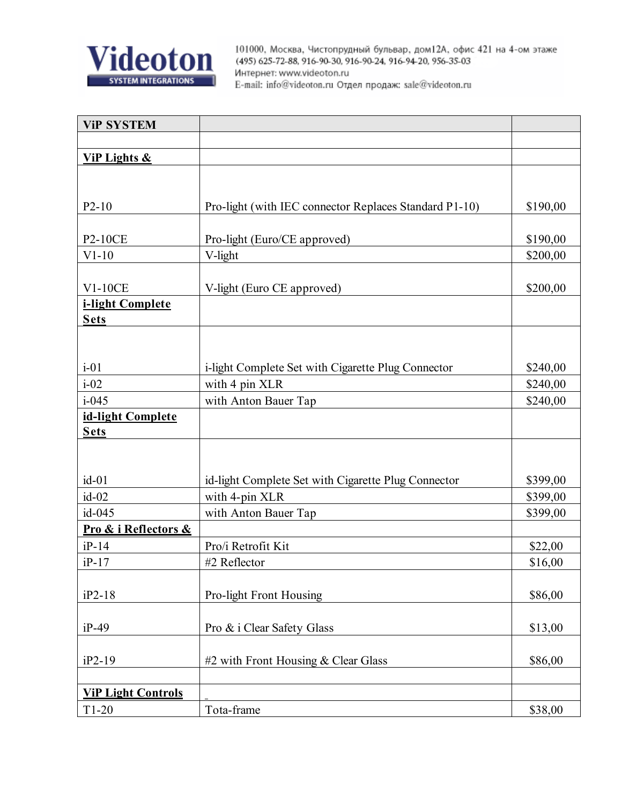

| <b>ViP SYSTEM</b>         |                                                        |          |
|---------------------------|--------------------------------------------------------|----------|
|                           |                                                        |          |
| <b>ViP Lights &amp;</b>   |                                                        |          |
|                           |                                                        |          |
|                           |                                                        |          |
| $P2-10$                   | Pro-light (with IEC connector Replaces Standard P1-10) | \$190,00 |
|                           |                                                        |          |
| <b>P2-10CE</b>            | Pro-light (Euro/CE approved)                           | \$190,00 |
| $V1-10$                   | V-light                                                | \$200,00 |
|                           |                                                        |          |
| $V1-10CE$                 | V-light (Euro CE approved)                             | \$200,00 |
| i-light Complete          |                                                        |          |
| <b>Sets</b>               |                                                        |          |
|                           |                                                        |          |
|                           |                                                        |          |
| $i-01$                    | i-light Complete Set with Cigarette Plug Connector     | \$240,00 |
| $i-02$                    | with 4 pin XLR                                         | \$240,00 |
| $i - 045$                 | with Anton Bauer Tap                                   | \$240,00 |
| id-light Complete         |                                                        |          |
| <b>Sets</b>               |                                                        |          |
|                           |                                                        |          |
| $id-01$                   | id-light Complete Set with Cigarette Plug Connector    | \$399,00 |
| $id-02$                   | with 4-pin XLR                                         | \$399,00 |
| id-045                    | with Anton Bauer Tap                                   | \$399,00 |
| Pro & i Reflectors &      |                                                        |          |
| $iP-14$                   | Pro/i Retrofit Kit                                     | \$22,00  |
| $iP-17$                   | #2 Reflector                                           | \$16,00  |
|                           |                                                        |          |
| iP2-18                    | Pro-light Front Housing                                | \$86,00  |
|                           |                                                        |          |
| $iP-49$                   | Pro & i Clear Safety Glass                             | \$13,00  |
|                           |                                                        |          |
| iP2-19                    | #2 with Front Housing $& Clear Glass$                  | \$86,00  |
|                           |                                                        |          |
| <b>ViP Light Controls</b> |                                                        |          |
| $T1-20$                   | Tota-frame                                             | \$38,00  |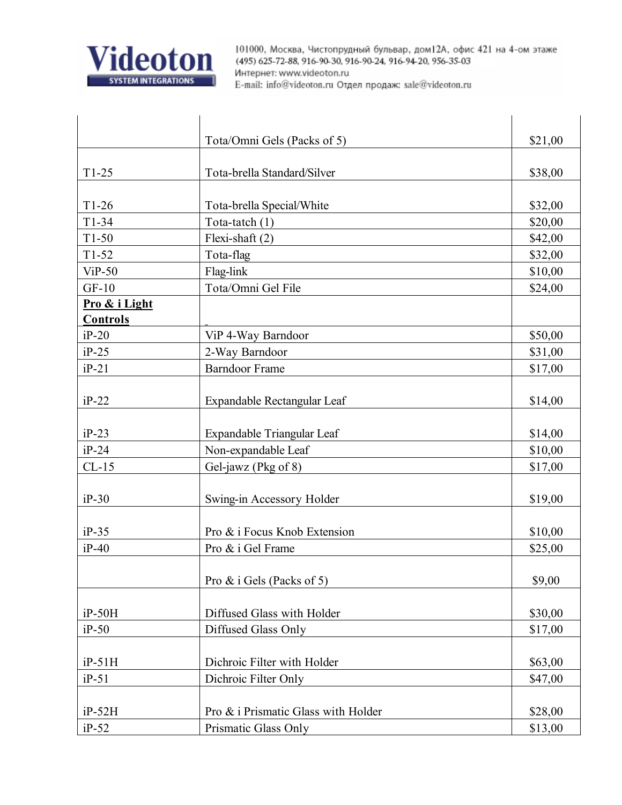

|                 | Tota/Omni Gels (Packs of 5)         | \$21,00 |
|-----------------|-------------------------------------|---------|
| $T1-25$         | Tota-brella Standard/Silver         | \$38,00 |
| $T1-26$         | Tota-brella Special/White           | \$32,00 |
| $T1-34$         | Tota-tatch $(1)$                    | \$20,00 |
| $T1-50$         | Flexi-shaft $(2)$                   | \$42,00 |
| $T1-52$         | Tota-flag                           | \$32,00 |
| $ViP-50$        | Flag-link                           | \$10,00 |
| $GF-10$         | Tota/Omni Gel File                  | \$24,00 |
| Pro & i Light   |                                     |         |
| <b>Controls</b> |                                     |         |
| $iP-20$         | ViP 4-Way Barndoor                  | \$50,00 |
| $iP-25$         | 2-Way Barndoor                      | \$31,00 |
| $iP-21$         | <b>Barndoor Frame</b>               | \$17,00 |
| $iP-22$         | Expandable Rectangular Leaf         | \$14,00 |
| $iP-23$         | Expandable Triangular Leaf          | \$14,00 |
| $iP-24$         | Non-expandable Leaf                 | \$10,00 |
| $CL-15$         | Gel-jawz (Pkg of 8)                 | \$17,00 |
| $iP-30$         | Swing-in Accessory Holder           | \$19,00 |
| $iP-35$         | Pro & i Focus Knob Extension        | \$10,00 |
| $iP-40$         | Pro & i Gel Frame                   | \$25,00 |
|                 | Pro $\&$ i Gels (Packs of 5)        | \$9,00  |
| $iP-50H$        | Diffused Glass with Holder          | \$30,00 |
| $iP-50$         | Diffused Glass Only                 | \$17,00 |
| $iP-51H$        | Dichroic Filter with Holder         | \$63,00 |
| $iP-51$         | Dichroic Filter Only                | \$47,00 |
| $iP-52H$        | Pro & i Prismatic Glass with Holder | \$28,00 |
| $iP-52$         | Prismatic Glass Only                | \$13,00 |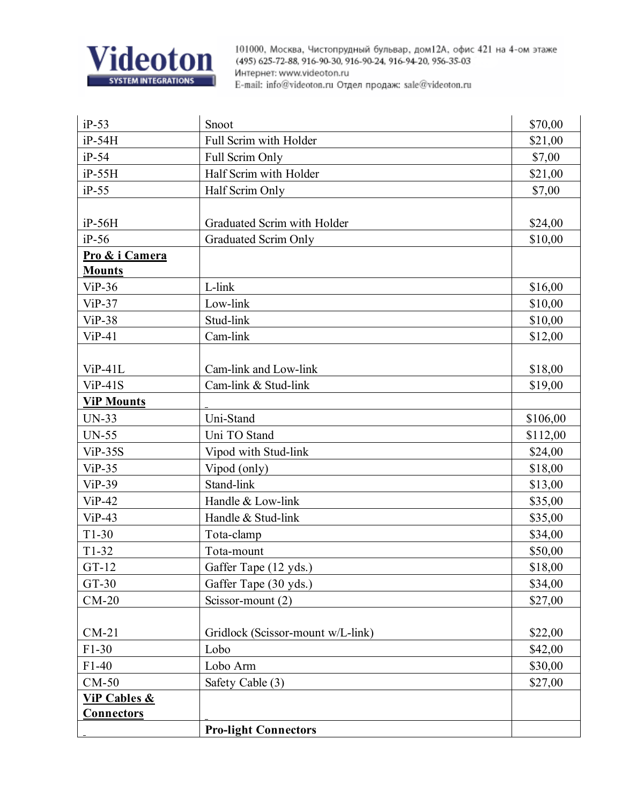

| $iP-53$                 | Snoot                             | \$70,00  |
|-------------------------|-----------------------------------|----------|
| $iP-54H$                | Full Scrim with Holder            | \$21,00  |
| $iP-54$                 | Full Scrim Only                   | \$7,00   |
| $iP-55H$                | Half Scrim with Holder            | \$21,00  |
| $iP-55$                 | Half Scrim Only                   | \$7,00   |
|                         |                                   |          |
| $iP-56H$                | Graduated Scrim with Holder       | \$24,00  |
| $iP-56$                 | Graduated Scrim Only              | \$10,00  |
| Pro & i Camera          |                                   |          |
| <b>Mounts</b>           |                                   |          |
| $ViP-36$                | L-link                            | \$16,00  |
| $ViP-37$                | Low-link                          | \$10,00  |
| $ViP-38$                | Stud-link                         | \$10,00  |
| $ViP-41$                | Cam-link                          | \$12,00  |
|                         |                                   |          |
| $ViP-41L$               | Cam-link and Low-link             | \$18,00  |
| $ViP-41S$               | Cam-link & Stud-link              | \$19,00  |
| <b>ViP Mounts</b>       |                                   |          |
| <b>UN-33</b>            | Uni-Stand                         | \$106,00 |
| <b>UN-55</b>            | Uni TO Stand                      | \$112,00 |
| $ViP-35S$               | Vipod with Stud-link              | \$24,00  |
| $ViP-35$                | Vipod (only)                      | \$18,00  |
| $ViP-39$                | Stand-link                        | \$13,00  |
| $ViP-42$                | Handle & Low-link                 | \$35,00  |
| $ViP-43$                | Handle & Stud-link                | \$35,00  |
| $T1-30$                 | Tota-clamp                        | \$34,00  |
| $T1-32$                 | Tota-mount                        | \$50,00  |
| $GT-12$                 | Gaffer Tape (12 yds.)             | \$18,00  |
| GT-30                   | Gaffer Tape (30 yds.)             | \$34,00  |
| $CM-20$                 | Scissor-mount (2)                 | \$27,00  |
|                         |                                   |          |
| $CM-21$                 | Gridlock (Scissor-mount w/L-link) | \$22,00  |
| $F1-30$                 | Lobo                              | \$42,00  |
| $F1-40$                 | Lobo Arm                          | \$30,00  |
| $CM-50$                 | Safety Cable (3)                  | \$27,00  |
| <b>ViP Cables &amp;</b> |                                   |          |
| <b>Connectors</b>       |                                   |          |
|                         | <b>Pro-light Connectors</b>       |          |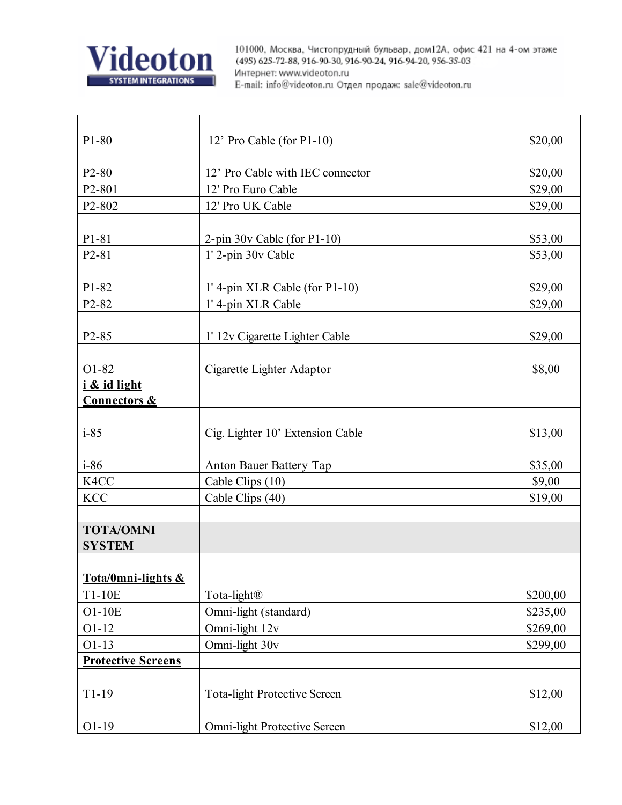

| P1-80                             | 12' Pro Cable (for P1-10)           | \$20,00  |
|-----------------------------------|-------------------------------------|----------|
|                                   |                                     |          |
| P <sub>2</sub> -80                | 12' Pro Cable with IEC connector    | \$20,00  |
| P <sub>2</sub> -801               | 12' Pro Euro Cable                  | \$29,00  |
| P2-802                            | 12' Pro UK Cable                    | \$29,00  |
|                                   |                                     |          |
| P <sub>1</sub> -8 <sub>1</sub>    | $2$ -pin 30v Cable (for P1-10)      | \$53,00  |
| P2-81                             | 1' 2-pin 30v Cable                  | \$53,00  |
| P1-82                             | $1'$ 4-pin XLR Cable (for P1-10)    | \$29,00  |
| P2-82                             | 1' 4-pin XLR Cable                  | \$29,00  |
|                                   |                                     |          |
| P <sub>2</sub> -85                | 1' 12y Cigarette Lighter Cable      | \$29,00  |
|                                   |                                     |          |
| O1-82                             | Cigarette Lighter Adaptor           | \$8,00   |
| i & id light                      |                                     |          |
| <b>Connectors &amp;</b>           |                                     |          |
| $i-85$                            | Cig. Lighter 10' Extension Cable    | \$13,00  |
| $i-86$                            | Anton Bauer Battery Tap             | \$35,00  |
| K4CC                              | Cable Clips (10)                    | \$9,00   |
| <b>KCC</b>                        | Cable Clips (40)                    | \$19,00  |
|                                   |                                     |          |
| <b>TOTA/OMNI</b><br><b>SYSTEM</b> |                                     |          |
|                                   |                                     |          |
| Tota/0mni-lights &                |                                     |          |
| T1-10E                            | Tota-light®                         | \$200,00 |
| O1-10E                            | Omni-light (standard)               | \$235,00 |
| $O1-12$                           | Omni-light 12v                      | \$269,00 |
| $O1-13$                           | Omni-light 30v                      | \$299,00 |
| <b>Protective Screens</b>         |                                     |          |
| $T1-19$                           | <b>Tota-light Protective Screen</b> | \$12,00  |
| $O1-19$                           | Omni-light Protective Screen        | \$12,00  |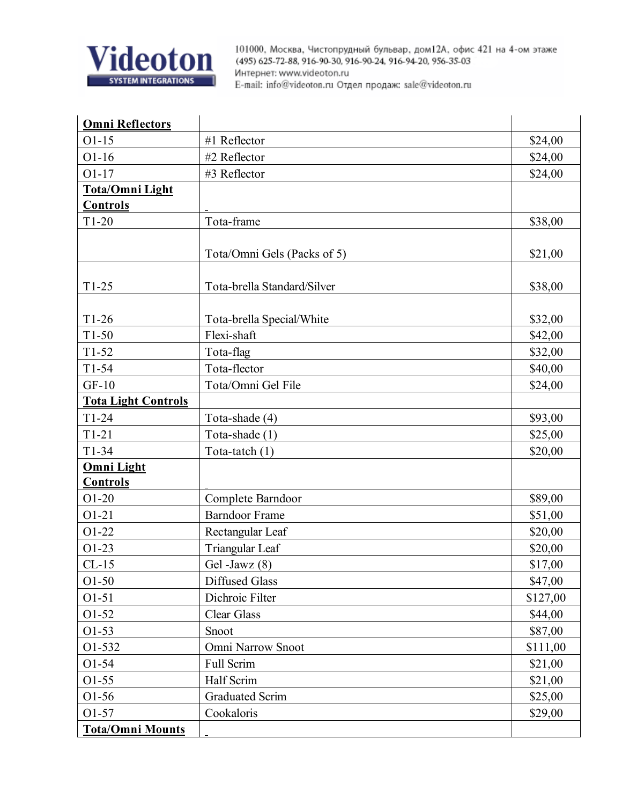

| <b>Omni Reflectors</b>     |                             |          |
|----------------------------|-----------------------------|----------|
| $O1-15$                    | #1 Reflector                | \$24,00  |
| $O1-16$                    | #2 Reflector                | \$24,00  |
| $O1-17$                    | #3 Reflector                | \$24,00  |
| Tota/Omni Light            |                             |          |
| <b>Controls</b>            |                             |          |
| $T1-20$                    | Tota-frame                  | \$38,00  |
|                            |                             |          |
|                            | Tota/Omni Gels (Packs of 5) | \$21,00  |
|                            |                             |          |
| $T1-25$                    | Tota-brella Standard/Silver | \$38,00  |
|                            |                             |          |
| $T1-26$                    | Tota-brella Special/White   | \$32,00  |
| $T1-50$                    | Flexi-shaft                 | \$42,00  |
| $T1-52$                    | Tota-flag                   | \$32,00  |
| $T1-54$                    | Tota-flector                | \$40,00  |
| $GF-10$                    | Tota/Omni Gel File          | \$24,00  |
| <b>Tota Light Controls</b> |                             |          |
| $T1-24$                    | Tota-shade (4)              | \$93,00  |
| $T1-21$                    | Tota-shade (1)              | \$25,00  |
| $T1-34$                    | Tota-tatch (1)              | \$20,00  |
| <b>Omni Light</b>          |                             |          |
| <b>Controls</b>            |                             |          |
| $O1-20$                    | Complete Barndoor           | \$89,00  |
| $O1-21$                    | <b>Barndoor Frame</b>       | \$51,00  |
| O1-22                      | Rectangular Leaf            | \$20,00  |
| $O1-23$                    | Triangular Leaf             | \$20,00  |
| $CL-15$                    | Gel -Jawz $(8)$             | \$17,00  |
| $O1-50$                    | <b>Diffused Glass</b>       | \$47,00  |
| $O1 - 51$                  | Dichroic Filter             | \$127,00 |
| O1-52                      | <b>Clear Glass</b>          | \$44,00  |
| $O1-53$                    | Snoot                       | \$87,00  |
| O1-532                     | Omni Narrow Snoot           | \$111,00 |
| $O1 - 54$                  | Full Scrim                  | \$21,00  |
| $O1-55$                    | Half Scrim                  | \$21,00  |
| O1-56                      | <b>Graduated Scrim</b>      | \$25,00  |
| O1-57                      | Cookaloris                  | \$29,00  |
| <b>Tota/Omni Mounts</b>    |                             |          |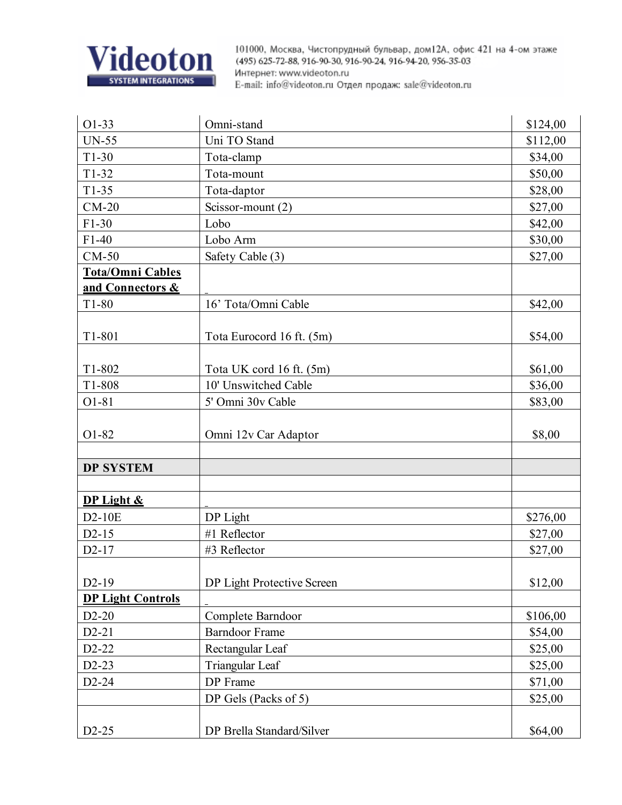

| $O1-33$                  | Omni-stand                 | \$124,00 |
|--------------------------|----------------------------|----------|
| <b>UN-55</b>             | Uni TO Stand               | \$112,00 |
| $T1-30$                  | Tota-clamp                 | \$34,00  |
| $T1-32$                  | Tota-mount                 | \$50,00  |
| $T1-35$                  | Tota-daptor                | \$28,00  |
| $CM-20$                  | Scissor-mount (2)          | \$27,00  |
| $F1-30$                  | Lobo                       | \$42,00  |
| $F1-40$                  | Lobo Arm                   | \$30,00  |
| $CM-50$                  | Safety Cable (3)           | \$27,00  |
| Tota/Omni Cables         |                            |          |
| and Connectors &         |                            |          |
| $T1-80$                  | 16' Tota/Omni Cable        | \$42,00  |
|                          |                            |          |
| T1-801                   | Tota Eurocord 16 ft. (5m)  | \$54,00  |
|                          |                            |          |
| T1-802                   | Tota UK cord 16 ft. (5m)   | \$61,00  |
| T1-808                   | 10' Unswitched Cable       | \$36,00  |
| $O1-81$                  | 5' Omni 30v Cable          | \$83,00  |
|                          |                            |          |
| O1-82                    | Omni 12v Car Adaptor       | \$8,00   |
|                          |                            |          |
| <b>DP SYSTEM</b>         |                            |          |
|                          |                            |          |
| DP Light &               |                            |          |
| D2-10E                   | DP Light                   | \$276,00 |
| $D2-15$                  | #1 Reflector               | \$27,00  |
| $D2-17$                  | #3 Reflector               | \$27,00  |
|                          |                            |          |
| $D2-19$                  | DP Light Protective Screen | \$12,00  |
| <b>DP Light Controls</b> |                            |          |
| $D2-20$                  | Complete Barndoor          | \$106,00 |
| $D2-21$                  | <b>Barndoor Frame</b>      | \$54,00  |
| $D2-22$                  | Rectangular Leaf           | \$25,00  |
| $D2-23$                  | Triangular Leaf            | \$25,00  |
| D2-24                    | DP Frame                   | \$71,00  |
|                          | DP Gels (Packs of 5)       | \$25,00  |
|                          |                            |          |
| $D2-25$                  | DP Brella Standard/Silver  | \$64,00  |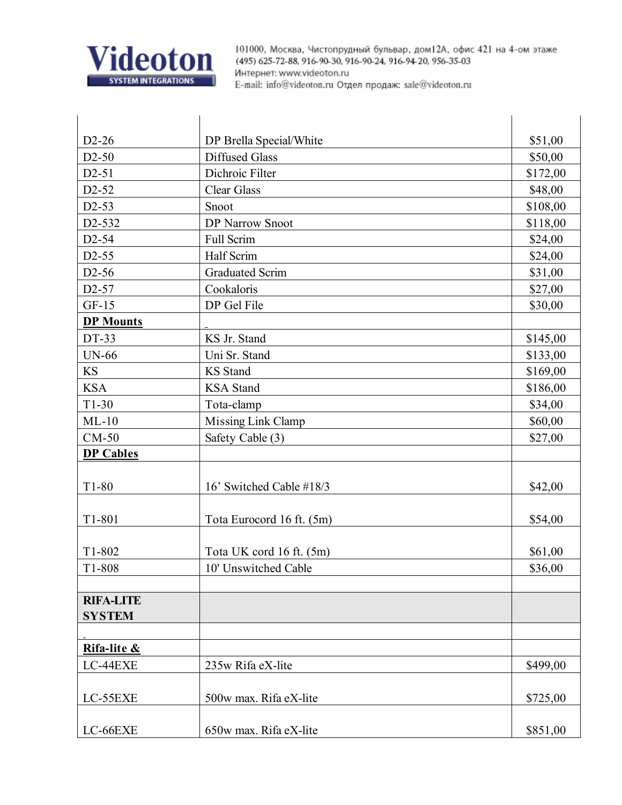

| $D2-26$                           | DP Brella Special/White   | \$51,00  |
|-----------------------------------|---------------------------|----------|
| $D2-50$                           | <b>Diffused Glass</b>     | \$50,00  |
| $D2-51$                           | Dichroic Filter           | \$172,00 |
| D <sub>2</sub> -52                | <b>Clear Glass</b>        | \$48,00  |
| $D2-53$                           | Snoot                     | \$108,00 |
| D2-532                            | <b>DP Narrow Snoot</b>    | \$118,00 |
| D <sub>2</sub> -54                | Full Scrim                | \$24,00  |
| D <sub>2</sub> -55                | Half Scrim                | \$24,00  |
| D <sub>2</sub> -56                | Graduated Scrim           | \$31,00  |
| D <sub>2</sub> -57                | Cookaloris                | \$27,00  |
| $GF-15$                           | DP Gel File               | \$30,00  |
| <b>DP Mounts</b>                  |                           |          |
| DT-33                             | KS Jr. Stand              | \$145,00 |
| <b>UN-66</b>                      | Uni Sr. Stand             | \$133,00 |
| <b>KS</b>                         | <b>KS</b> Stand           | \$169,00 |
| <b>KSA</b>                        | <b>KSA</b> Stand          | \$186,00 |
| $T1-30$                           | Tota-clamp                | \$34,00  |
| $ML-10$                           | Missing Link Clamp        | \$60,00  |
| $CM-50$                           | Safety Cable (3)          | \$27,00  |
| <b>DP Cables</b>                  |                           |          |
| $T1-80$                           | 16' Switched Cable #18/3  | \$42,00  |
| T1-801                            | Tota Eurocord 16 ft. (5m) | \$54,00  |
| T1-802                            | Tota UK cord 16 ft. (5m)  | \$61,00  |
| T1-808                            | 10' Unswitched Cable      | \$36,00  |
| <b>RIFA-LITE</b><br><b>SYSTEM</b> |                           |          |
| Rifa-lite &                       |                           |          |
| LC-44EXE                          | 235w Rifa eX-lite         | \$499,00 |
| LC-55EXE                          | 500w max. Rifa eX-lite    | \$725,00 |
| LC-66EXE                          | 650w max. Rifa eX-lite    | \$851,00 |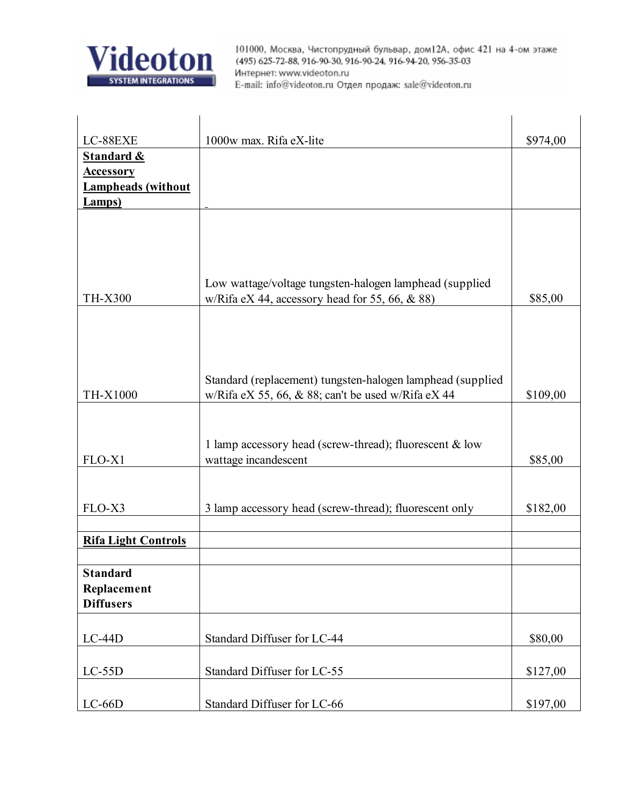

| LC-88EXE                   | 1000w max. Rifa eX-lite                                    | \$974,00 |
|----------------------------|------------------------------------------------------------|----------|
| <b>Standard &amp;</b>      |                                                            |          |
| <b>Accessory</b>           |                                                            |          |
| <b>Lampheads</b> (without  |                                                            |          |
| <b>Lamps</b> )             |                                                            |          |
|                            |                                                            |          |
|                            |                                                            |          |
|                            |                                                            |          |
|                            | Low wattage/voltage tungsten-halogen lamphead (supplied    |          |
| <b>TH-X300</b>             | w/Rifa eX 44, accessory head for 55, 66, $\&$ 88)          | \$85,00  |
|                            |                                                            |          |
|                            |                                                            |          |
|                            |                                                            |          |
|                            |                                                            |          |
|                            | Standard (replacement) tungsten-halogen lamphead (supplied |          |
| TH-X1000                   | w/Rifa eX 55, 66, $\&$ 88; can't be used w/Rifa eX 44      | \$109,00 |
|                            |                                                            |          |
|                            |                                                            |          |
|                            | 1 lamp accessory head (screw-thread); fluorescent & low    |          |
| FLO-X1                     | wattage incandescent                                       | \$85,00  |
|                            |                                                            |          |
| FLO-X3                     | 3 lamp accessory head (screw-thread); fluorescent only     | \$182,00 |
|                            |                                                            |          |
| <b>Rifa Light Controls</b> |                                                            |          |
|                            |                                                            |          |
| <b>Standard</b>            |                                                            |          |
| Replacement                |                                                            |          |
| <b>Diffusers</b>           |                                                            |          |
|                            |                                                            |          |
| $LC-44D$                   | Standard Diffuser for LC-44                                | \$80,00  |
|                            |                                                            |          |
| $LC-55D$                   | Standard Diffuser for LC-55                                | \$127,00 |
| $LC-66D$                   | Standard Diffuser for LC-66                                | \$197,00 |
|                            |                                                            |          |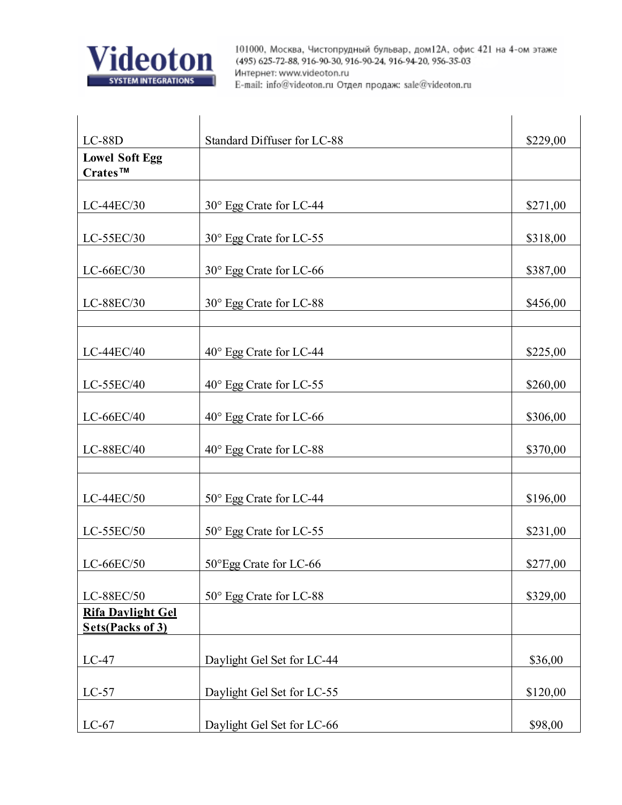

| $LC-88D$                                            | Standard Diffuser for LC-88 | \$229,00 |
|-----------------------------------------------------|-----------------------------|----------|
| <b>Lowel Soft Egg</b>                               |                             |          |
| Crates™                                             |                             |          |
| $LC-44EC/30$                                        | 30° Egg Crate for LC-44     | \$271,00 |
| LC-55EC/30                                          | 30° Egg Crate for LC-55     | \$318,00 |
| LC-66EC/30                                          | 30° Egg Crate for LC-66     | \$387,00 |
| LC-88EC/30                                          | 30° Egg Crate for LC-88     | \$456,00 |
| LC-44EC/40                                          | 40° Egg Crate for LC-44     | \$225,00 |
| LC-55EC/40                                          | 40° Egg Crate for LC-55     | \$260,00 |
| LC-66EC/40                                          | 40° Egg Crate for LC-66     | \$306,00 |
| LC-88EC/40                                          | 40° Egg Crate for LC-88     | \$370,00 |
| LC-44EC/50                                          | 50° Egg Crate for LC-44     | \$196,00 |
| LC-55EC/50                                          | 50° Egg Crate for LC-55     | \$231,00 |
| $LC-66EC/50$                                        | 50°Egg Crate for LC-66      | \$277,00 |
| LC-88EC/50                                          | 50° Egg Crate for LC-88     | \$329,00 |
| <b>Rifa Davlight Gel</b><br><b>Sets(Packs of 3)</b> |                             |          |
| $LC-47$                                             | Daylight Gel Set for LC-44  | \$36,00  |
| $LC-57$                                             | Daylight Gel Set for LC-55  | \$120,00 |
| $LC-67$                                             | Daylight Gel Set for LC-66  | \$98,00  |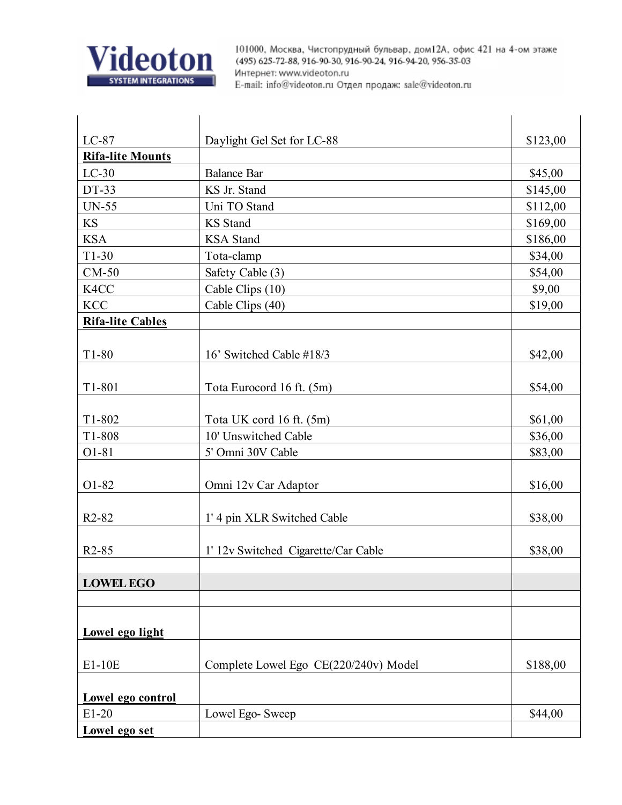

| $LC-87$                        | Daylight Gel Set for LC-88            | \$123,00 |
|--------------------------------|---------------------------------------|----------|
| <b>Rifa-lite Mounts</b>        |                                       |          |
| $LC-30$                        | <b>Balance Bar</b>                    | \$45,00  |
| DT-33                          | KS Jr. Stand                          | \$145,00 |
| <b>UN-55</b>                   | Uni TO Stand                          | \$112,00 |
| KS                             | <b>KS</b> Stand                       | \$169,00 |
| <b>KSA</b>                     | <b>KSA</b> Stand                      | \$186,00 |
| $T1-30$                        | Tota-clamp                            | \$34,00  |
| $CM-50$                        | Safety Cable (3)                      | \$54,00  |
| K4CC                           | Cable Clips (10)                      | \$9,00   |
| <b>KCC</b>                     | Cable Clips (40)                      | \$19,00  |
| <b>Rifa-lite Cables</b>        |                                       |          |
|                                |                                       |          |
| $T1-80$                        | 16' Switched Cable #18/3              | \$42,00  |
|                                |                                       |          |
| T1-801                         | Tota Eurocord 16 ft. (5m)             | \$54,00  |
|                                |                                       |          |
| T1-802                         | Tota UK cord 16 ft. (5m)              | \$61,00  |
| T1-808                         | 10' Unswitched Cable                  | \$36,00  |
| O1-81                          | 5' Omni 30V Cable                     | \$83,00  |
|                                |                                       |          |
| O1-82                          | Omni 12v Car Adaptor                  | \$16,00  |
|                                |                                       |          |
| R <sub>2</sub> -8 <sub>2</sub> | 1' 4 pin XLR Switched Cable           | \$38,00  |
|                                |                                       |          |
| $R2-85$                        | 1' 12v Switched Cigarette/Car Cable   | \$38,00  |
|                                |                                       |          |
| <b>LOWEL EGO</b>               |                                       |          |
|                                |                                       |          |
|                                |                                       |          |
| Lowel ego light                |                                       |          |
|                                |                                       |          |
| E1-10E                         | Complete Lowel Ego CE(220/240v) Model | \$188,00 |
|                                |                                       |          |
| Lowel ego control              |                                       |          |
| $E1-20$                        | Lowel Ego- Sweep                      | \$44,00  |
| Lowel ego set                  |                                       |          |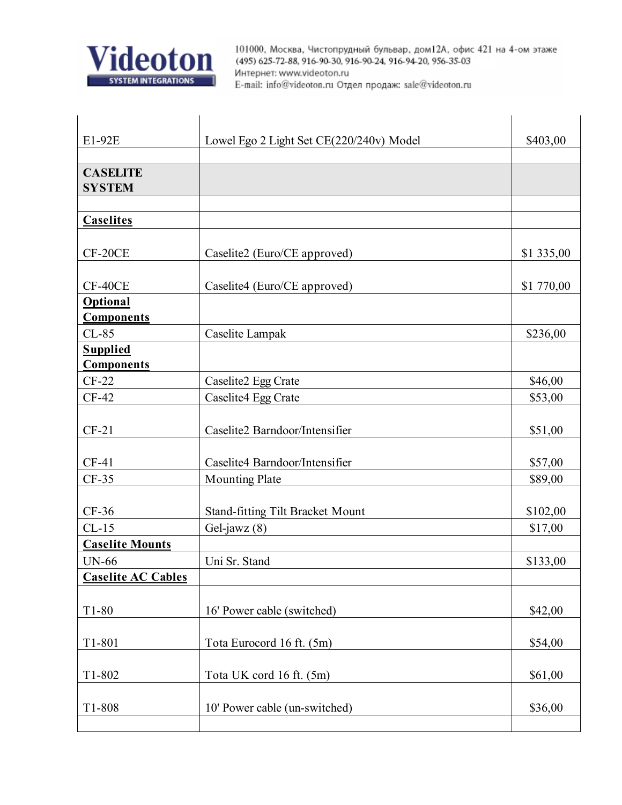

| E1-92E                    | Lowel Ego 2 Light Set CE(220/240v) Model | \$403,00   |
|---------------------------|------------------------------------------|------------|
|                           |                                          |            |
| <b>CASELITE</b>           |                                          |            |
| <b>SYSTEM</b>             |                                          |            |
| <b>Caselites</b>          |                                          |            |
|                           |                                          |            |
| CF-20CE                   | Caselite2 (Euro/CE approved)             | \$1 335,00 |
| CF-40CE                   | Caselite4 (Euro/CE approved)             | \$1 770,00 |
| <b>Optional</b>           |                                          |            |
| <b>Components</b>         |                                          |            |
| $CL-85$                   | Caselite Lampak                          | \$236,00   |
| <b>Supplied</b>           |                                          |            |
| <b>Components</b>         |                                          |            |
| $CF-22$                   | Caselite2 Egg Crate                      | \$46,00    |
| $CF-42$                   | Caselite4 Egg Crate                      | \$53,00    |
| $CF-21$                   | Caselite2 Barndoor/Intensifier           | \$51,00    |
| $CF-41$                   | Caselite4 Barndoor/Intensifier           | \$57,00    |
| $CF-35$                   | <b>Mounting Plate</b>                    | \$89,00    |
|                           |                                          |            |
| $CF-36$                   | <b>Stand-fitting Tilt Bracket Mount</b>  | \$102,00   |
| $CL-15$                   | Gel-jawz $(8)$                           | \$17,00    |
| <b>Caselite Mounts</b>    |                                          |            |
| <b>UN-66</b>              | Uni Sr. Stand                            | \$133,00   |
| <b>Caselite AC Cables</b> |                                          |            |
| $T1-80$                   | 16' Power cable (switched)               | \$42,00    |
|                           |                                          |            |
| T1-801                    | Tota Eurocord 16 ft. (5m)                | \$54,00    |
| T1-802                    | Tota UK cord 16 ft. (5m)                 | \$61,00    |
| T1-808                    | 10' Power cable (un-switched)            |            |
|                           |                                          | \$36,00    |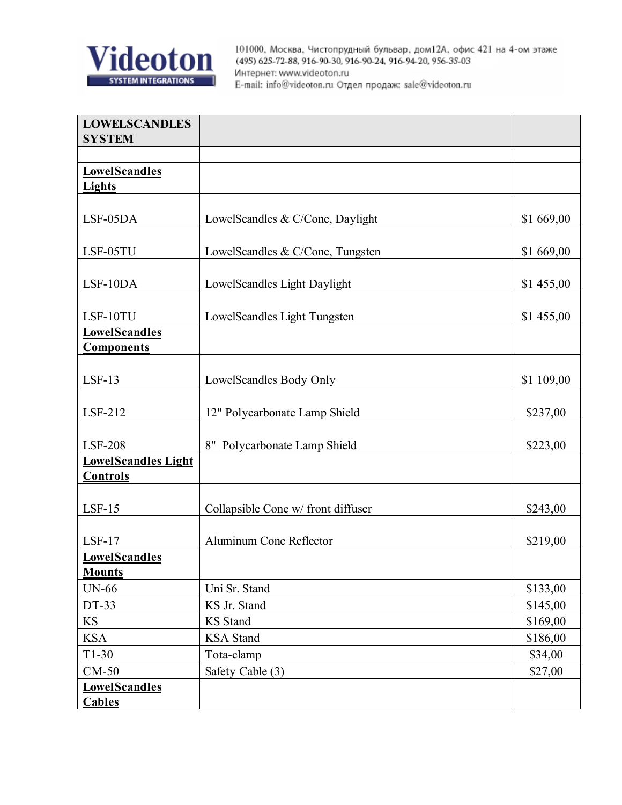

| <b>LOWELSCANDLES</b><br><b>SYSTEM</b>         |                                    |            |
|-----------------------------------------------|------------------------------------|------------|
|                                               |                                    |            |
| <b>LowelScandles</b><br><b>Lights</b>         |                                    |            |
| LSF-05DA                                      | LowelScandles & C/Cone, Daylight   | \$1 669,00 |
| LSF-05TU                                      | LowelScandles & C/Cone, Tungsten   | \$1 669,00 |
| LSF-10DA                                      | LowelScandles Light Daylight       | \$1 455,00 |
| LSF-10TU                                      | LowelScandles Light Tungsten       | \$1 455,00 |
| <b>LowelScandles</b><br><b>Components</b>     |                                    |            |
| $LSF-13$                                      | LowelScandles Body Only            | \$1 109,00 |
| LSF-212                                       | 12" Polycarbonate Lamp Shield      | \$237,00   |
| <b>LSF-208</b>                                | 8" Polycarbonate Lamp Shield       | \$223,00   |
| <b>LowelScandles Light</b><br><b>Controls</b> |                                    |            |
| $LSF-15$                                      | Collapsible Cone w/ front diffuser | \$243,00   |
| $LSF-17$                                      | Aluminum Cone Reflector            | \$219,00   |
| <b>LowelScandles</b><br><b>Mounts</b>         |                                    |            |
| <b>UN-66</b>                                  | Uni Sr. Stand                      | \$133,00   |
| DT-33                                         | KS Jr. Stand                       | \$145,00   |
| <b>KS</b>                                     | <b>KS</b> Stand                    | \$169,00   |
| <b>KSA</b>                                    | <b>KSA</b> Stand                   | \$186,00   |
| $T1-30$                                       | Tota-clamp                         | \$34,00    |
| $CM-50$                                       | Safety Cable (3)                   | \$27,00    |
| <b>LowelScandles</b><br><b>Cables</b>         |                                    |            |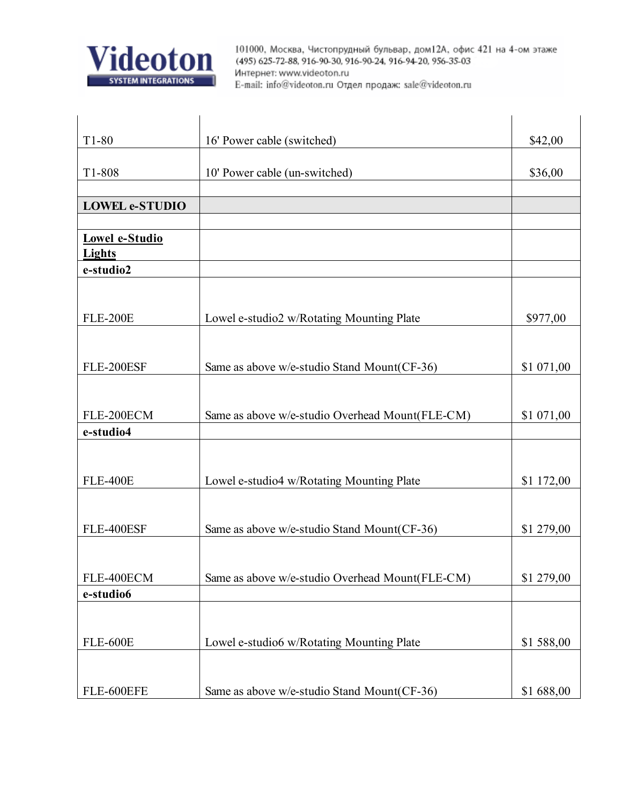

| $T1-80$                    | 16' Power cable (switched)                      | \$42,00    |
|----------------------------|-------------------------------------------------|------------|
|                            |                                                 |            |
| T1-808                     | 10' Power cable (un-switched)                   | \$36,00    |
|                            |                                                 |            |
| <b>LOWEL e-STUDIO</b>      |                                                 |            |
|                            |                                                 |            |
| Lowel e-Studio             |                                                 |            |
| <b>Lights</b><br>e-studio2 |                                                 |            |
|                            |                                                 |            |
|                            |                                                 |            |
| <b>FLE-200E</b>            | Lowel e-studio2 w/Rotating Mounting Plate       | \$977,00   |
|                            |                                                 |            |
|                            |                                                 |            |
| FLE-200ESF                 | Same as above w/e-studio Stand Mount(CF-36)     | \$1 071,00 |
|                            |                                                 |            |
|                            |                                                 |            |
| FLE-200ECM                 | Same as above w/e-studio Overhead Mount(FLE-CM) | \$1 071,00 |
| e-studio4                  |                                                 |            |
|                            |                                                 |            |
| <b>FLE-400E</b>            | Lowel e-studio4 w/Rotating Mounting Plate       | \$1 172,00 |
|                            |                                                 |            |
|                            |                                                 |            |
| FLE-400ESF                 | Same as above w/e-studio Stand Mount(CF-36)     | \$1 279,00 |
|                            |                                                 |            |
|                            |                                                 |            |
| FLE-400ECM                 | Same as above w/e-studio Overhead Mount(FLE-CM) | \$1 279,00 |
| e-studio6                  |                                                 |            |
|                            |                                                 |            |
|                            |                                                 |            |
| <b>FLE-600E</b>            | Lowel e-studio6 w/Rotating Mounting Plate       | \$1 588,00 |
|                            |                                                 |            |
| FLE-600EFE                 | Same as above w/e-studio Stand Mount(CF-36)     | \$1688,00  |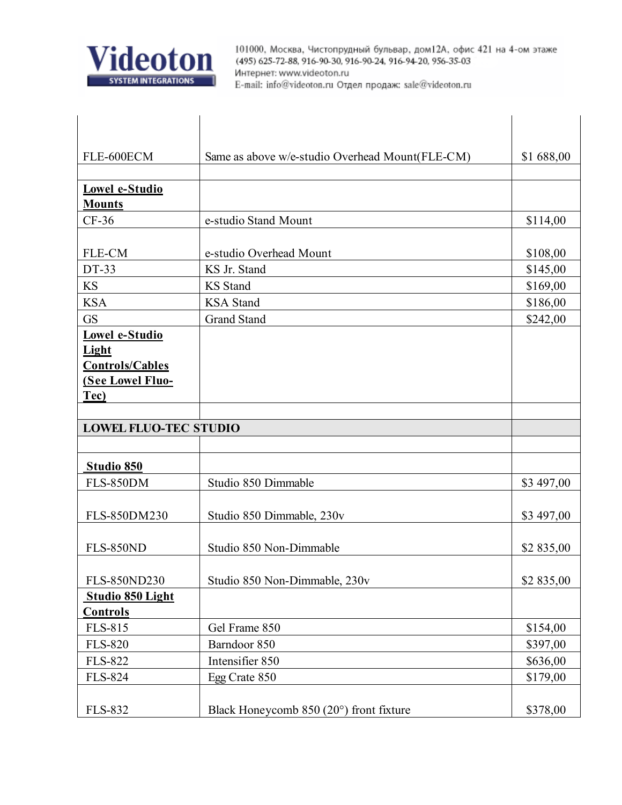

| FLE-600ECM                   | Same as above w/e-studio Overhead Mount(FLE-CM) | \$1 688,00 |
|------------------------------|-------------------------------------------------|------------|
|                              |                                                 |            |
| Lowel e-Studio               |                                                 |            |
| <b>Mounts</b>                |                                                 |            |
| $CF-36$                      | e-studio Stand Mount                            | \$114,00   |
|                              |                                                 |            |
| FLE-CM                       | e-studio Overhead Mount                         | \$108,00   |
| DT-33                        | KS Jr. Stand                                    | \$145,00   |
| <b>KS</b>                    | <b>KS</b> Stand                                 | \$169,00   |
| <b>KSA</b>                   | <b>KSA</b> Stand                                | \$186,00   |
| <b>GS</b>                    | <b>Grand Stand</b>                              | \$242,00   |
| Lowel e-Studio               |                                                 |            |
| Light                        |                                                 |            |
| <b>Controls/Cables</b>       |                                                 |            |
| <b>(See Lowel Fluo-</b>      |                                                 |            |
| Tec)                         |                                                 |            |
|                              |                                                 |            |
| <b>LOWEL FLUO-TEC STUDIO</b> |                                                 |            |
|                              |                                                 |            |
| Studio 850                   |                                                 |            |
| <b>FLS-850DM</b>             | Studio 850 Dimmable                             | \$3 497,00 |
|                              |                                                 |            |
| FLS-850DM230                 | Studio 850 Dimmable, 230v                       | \$3 497,00 |
| <b>FLS-850ND</b>             | Studio 850 Non-Dimmable                         | \$2 835,00 |
|                              |                                                 |            |
| FLS-850ND230                 | Studio 850 Non-Dimmable, 230v                   | \$2 835,00 |
| Studio 850 Light             |                                                 |            |
| <b>Controls</b>              |                                                 |            |
| FLS-815                      | Gel Frame 850                                   | \$154,00   |
| <b>FLS-820</b>               | Barndoor 850                                    | \$397,00   |
| <b>FLS-822</b>               | Intensifier 850                                 | \$636,00   |
| <b>FLS-824</b>               | Egg Crate 850                                   | \$179,00   |
|                              |                                                 |            |
| <b>FLS-832</b>               | Black Honeycomb $850(20^{\circ})$ front fixture | \$378,00   |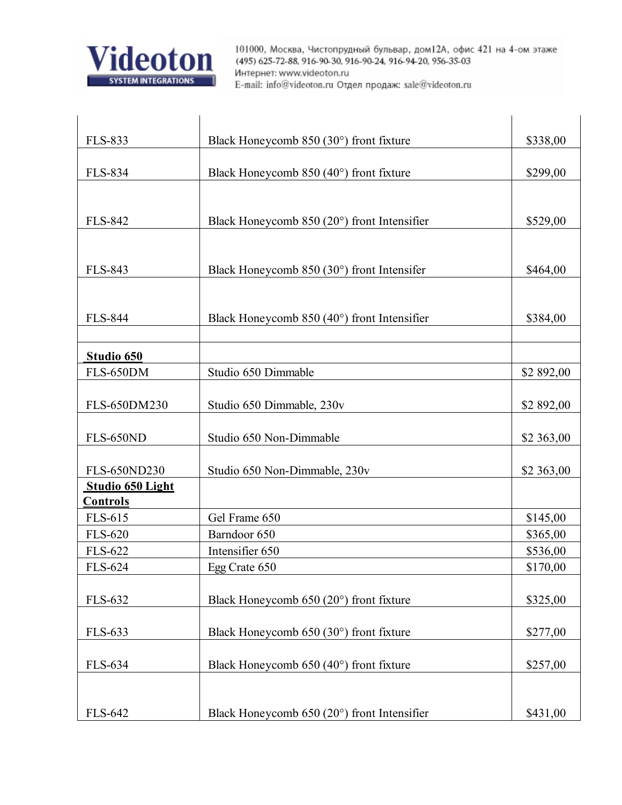

| <b>FLS-833</b>   | Black Honeycomb $850(30^{\circ})$ front fixture      | \$338,00   |
|------------------|------------------------------------------------------|------------|
|                  |                                                      |            |
| <b>FLS-834</b>   | Black Honeycomb $850 (40^{\circ})$ front fixture     | \$299,00   |
|                  |                                                      |            |
| <b>FLS-842</b>   | Black Honeycomb $850(20^{\circ})$ front Intensifier  | \$529,00   |
|                  |                                                      |            |
|                  |                                                      |            |
| <b>FLS-843</b>   | Black Honeycomb $850(30^{\circ})$ front Intensifer   | \$464,00   |
|                  |                                                      |            |
|                  |                                                      |            |
| <b>FLS-844</b>   | Black Honeycomb $850 (40^{\circ})$ front Intensifier | \$384,00   |
|                  |                                                      |            |
| Studio 650       |                                                      |            |
| <b>FLS-650DM</b> | Studio 650 Dimmable                                  | \$2 892,00 |
|                  |                                                      |            |
| FLS-650DM230     | Studio 650 Dimmable, 230v                            | \$2 892,00 |
|                  |                                                      |            |
| <b>FLS-650ND</b> | Studio 650 Non-Dimmable                              | \$2 363,00 |
| FLS-650ND230     |                                                      |            |
| Studio 650 Light | Studio 650 Non-Dimmable, 230v                        | \$2 363,00 |
| <b>Controls</b>  |                                                      |            |
| <b>FLS-615</b>   | Gel Frame 650                                        | \$145,00   |
| <b>FLS-620</b>   | Barndoor 650                                         | \$365,00   |
| <b>FLS-622</b>   | Intensifier 650                                      | \$536,00   |
| <b>FLS-624</b>   | Egg Crate 650                                        | \$170,00   |
|                  |                                                      |            |
| FLS-632          | Black Honeycomb $650(20^{\circ})$ front fixture      | \$325,00   |
|                  |                                                      |            |
| <b>FLS-633</b>   | Black Honeycomb $650(30^{\circ})$ front fixture      | \$277,00   |
|                  |                                                      |            |
| FLS-634          | Black Honeycomb $650 (40^{\circ})$ front fixture     | \$257,00   |
|                  |                                                      |            |
| FLS-642          | Black Honeycomb $650(20^{\circ})$ front Intensifier  | \$431,00   |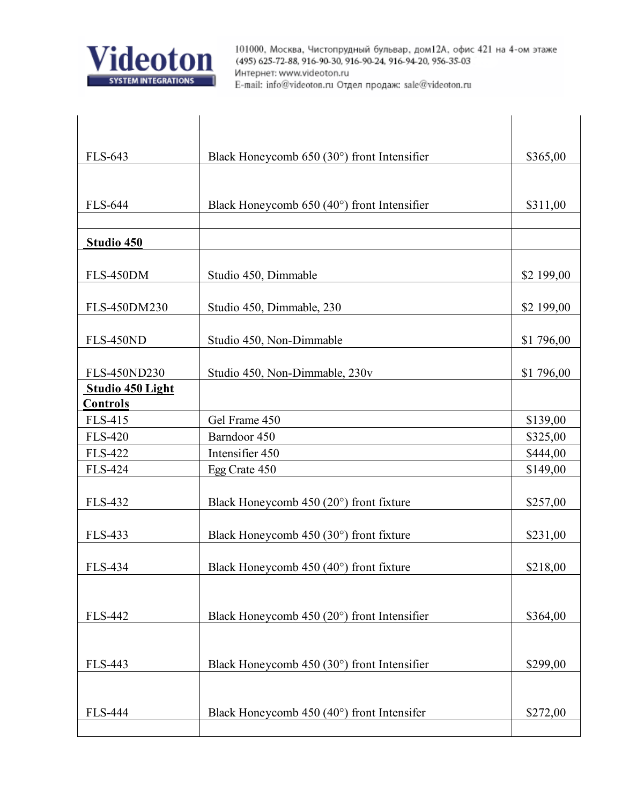

| FLS-643<br>\$365,00<br>Black Honeycomb $650(30^{\circ})$ front Intensifier<br><b>FLS-644</b><br>\$311,00<br>Black Honeycomb $650 (40^{\circ})$ front Intensifier<br>Studio 450<br>FLS-450DM<br>Studio 450, Dimmable<br>\$2 199,00<br>Studio 450, Dimmable, 230<br>\$2 199,00<br>FLS-450DM230<br><b>FLS-450ND</b><br>Studio 450, Non-Dimmable<br>\$1 796,00<br>FLS-450ND230<br>Studio 450, Non-Dimmable, 230v<br>\$1 796,00<br><b>Studio 450 Light</b><br>Controls<br><b>FLS-415</b><br>Gel Frame 450<br>\$139,00 |  |
|------------------------------------------------------------------------------------------------------------------------------------------------------------------------------------------------------------------------------------------------------------------------------------------------------------------------------------------------------------------------------------------------------------------------------------------------------------------------------------------------------------------|--|
|                                                                                                                                                                                                                                                                                                                                                                                                                                                                                                                  |  |
|                                                                                                                                                                                                                                                                                                                                                                                                                                                                                                                  |  |
|                                                                                                                                                                                                                                                                                                                                                                                                                                                                                                                  |  |
|                                                                                                                                                                                                                                                                                                                                                                                                                                                                                                                  |  |
|                                                                                                                                                                                                                                                                                                                                                                                                                                                                                                                  |  |
|                                                                                                                                                                                                                                                                                                                                                                                                                                                                                                                  |  |
|                                                                                                                                                                                                                                                                                                                                                                                                                                                                                                                  |  |
|                                                                                                                                                                                                                                                                                                                                                                                                                                                                                                                  |  |
|                                                                                                                                                                                                                                                                                                                                                                                                                                                                                                                  |  |
|                                                                                                                                                                                                                                                                                                                                                                                                                                                                                                                  |  |
|                                                                                                                                                                                                                                                                                                                                                                                                                                                                                                                  |  |
|                                                                                                                                                                                                                                                                                                                                                                                                                                                                                                                  |  |
|                                                                                                                                                                                                                                                                                                                                                                                                                                                                                                                  |  |
|                                                                                                                                                                                                                                                                                                                                                                                                                                                                                                                  |  |
|                                                                                                                                                                                                                                                                                                                                                                                                                                                                                                                  |  |
| <b>FLS-420</b><br>Barndoor 450<br>\$325,00                                                                                                                                                                                                                                                                                                                                                                                                                                                                       |  |
| Intensifier 450<br><b>FLS-422</b><br>\$444,00                                                                                                                                                                                                                                                                                                                                                                                                                                                                    |  |
| <b>FLS-424</b><br>\$149,00<br>Egg Crate 450                                                                                                                                                                                                                                                                                                                                                                                                                                                                      |  |
| Black Honeycomb $450(20^{\circ})$ front fixture<br><b>FLS-432</b><br>\$257,00                                                                                                                                                                                                                                                                                                                                                                                                                                    |  |
|                                                                                                                                                                                                                                                                                                                                                                                                                                                                                                                  |  |
| <b>FLS-433</b><br>Black Honeycomb $450(30^{\circ})$ front fixture<br>\$231,00                                                                                                                                                                                                                                                                                                                                                                                                                                    |  |
| FLS-434<br>\$218,00<br>Black Honeycomb $450 (40^{\circ})$ front fixture                                                                                                                                                                                                                                                                                                                                                                                                                                          |  |
|                                                                                                                                                                                                                                                                                                                                                                                                                                                                                                                  |  |
| <b>FLS-442</b><br>Black Honeycomb $450(20^{\circ})$ front Intensifier<br>\$364,00                                                                                                                                                                                                                                                                                                                                                                                                                                |  |
|                                                                                                                                                                                                                                                                                                                                                                                                                                                                                                                  |  |
| Black Honeycomb $450(30^{\circ})$ front Intensifier<br>\$299,00<br><b>FLS-443</b>                                                                                                                                                                                                                                                                                                                                                                                                                                |  |
|                                                                                                                                                                                                                                                                                                                                                                                                                                                                                                                  |  |
| <b>FLS-444</b><br>Black Honeycomb $450 (40^{\circ})$ front Intensifer<br>\$272,00                                                                                                                                                                                                                                                                                                                                                                                                                                |  |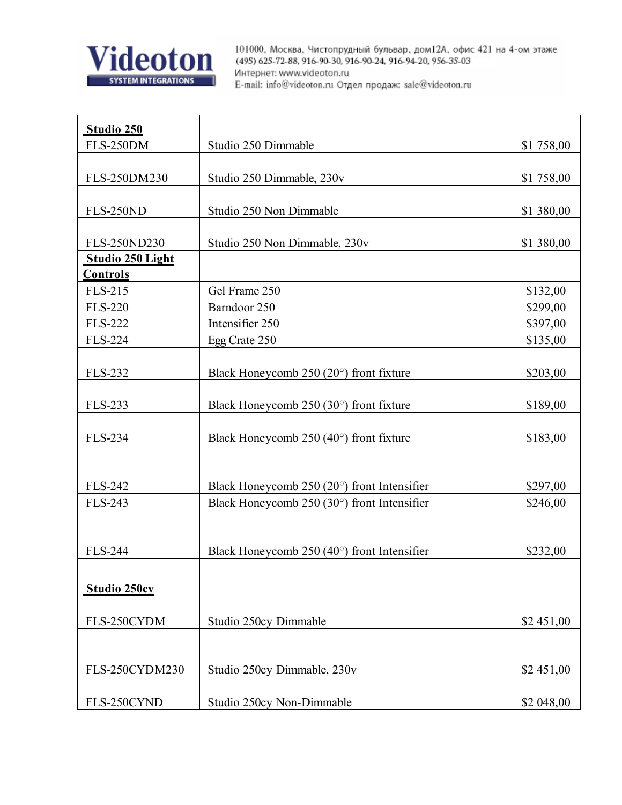

| Studio 250                          |                                                     |            |
|-------------------------------------|-----------------------------------------------------|------------|
| <b>FLS-250DM</b>                    | Studio 250 Dimmable                                 | \$1 758,00 |
|                                     |                                                     |            |
| FLS-250DM230                        | Studio 250 Dimmable, 230v                           | \$1 758,00 |
|                                     |                                                     |            |
| <b>FLS-250ND</b>                    | Studio 250 Non Dimmable                             | \$1 380,00 |
|                                     |                                                     |            |
| FLS-250ND230                        | Studio 250 Non Dimmable, 230v                       | \$1 380,00 |
| Studio 250 Light<br><b>Controls</b> |                                                     |            |
| <b>FLS-215</b>                      | Gel Frame 250                                       | \$132,00   |
| <b>FLS-220</b>                      | Barndoor 250                                        | \$299,00   |
| <b>FLS-222</b>                      | Intensifier 250                                     | \$397,00   |
| <b>FLS-224</b>                      | Egg Crate 250                                       | \$135,00   |
|                                     |                                                     |            |
| <b>FLS-232</b>                      | Black Honeycomb $250(20^{\circ})$ front fixture     | \$203,00   |
|                                     |                                                     |            |
| <b>FLS-233</b>                      | Black Honeycomb $250(30^{\circ})$ front fixture     | \$189,00   |
|                                     |                                                     |            |
| <b>FLS-234</b>                      | Black Honeycomb $250(40^{\circ})$ front fixture     | \$183,00   |
|                                     |                                                     |            |
|                                     |                                                     |            |
| <b>FLS-242</b>                      | Black Honeycomb $250(20^{\circ})$ front Intensifier | \$297,00   |
| <b>FLS-243</b>                      | Black Honeycomb 250 (30°) front Intensifier         | \$246,00   |
|                                     |                                                     |            |
|                                     |                                                     |            |
| <b>FLS-244</b>                      | Black Honeycomb $250(40^{\circ})$ front Intensifier | \$232,00   |
|                                     |                                                     |            |
| <b>Studio 250cy</b>                 |                                                     |            |
|                                     |                                                     |            |
| FLS-250CYDM                         | Studio 250cy Dimmable                               | \$2 451,00 |
|                                     |                                                     |            |
| FLS-250CYDM230                      | Studio 250cy Dimmable, 230v                         | \$2 451,00 |
|                                     |                                                     |            |
| FLS-250CYND                         | Studio 250cy Non-Dimmable                           | \$2 048,00 |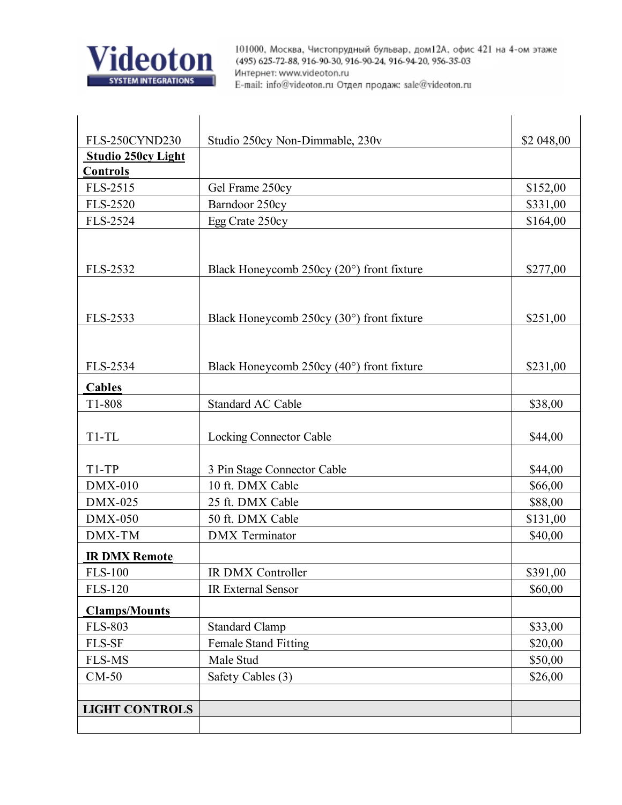

| FLS-250CYND230            | Studio 250cy Non-Dimmable, 230v             | \$2 048,00 |
|---------------------------|---------------------------------------------|------------|
| <b>Studio 250cy Light</b> |                                             |            |
| <b>Controls</b>           |                                             |            |
| FLS-2515                  | Gel Frame 250cy                             | \$152,00   |
| <b>FLS-2520</b>           | Barndoor 250cy                              | \$331,00   |
| FLS-2524                  | Egg Crate 250cy                             | \$164,00   |
|                           |                                             |            |
|                           |                                             |            |
| FLS-2532                  | Black Honeycomb 250cy (20°) front fixture   | \$277,00   |
|                           |                                             |            |
|                           |                                             |            |
| FLS-2533                  | Black Honeycomb 250cy (30°) front fixture   | \$251,00   |
|                           |                                             |            |
|                           |                                             |            |
| FLS-2534                  | Black Honeycomb $250cy (40°)$ front fixture | \$231,00   |
| <b>Cables</b>             |                                             |            |
| T1-808                    | <b>Standard AC Cable</b>                    | \$38,00    |
|                           |                                             |            |
| $T1-TL$                   | <b>Locking Connector Cable</b>              | \$44,00    |
|                           |                                             |            |
| $T1-TP$                   | 3 Pin Stage Connector Cable                 | \$44,00    |
| $DMX-010$                 | 10 ft. DMX Cable                            | \$66,00    |
| $DMX-025$                 | 25 ft. DMX Cable                            | \$88,00    |
| $DMX-050$                 | 50 ft. DMX Cable                            | \$131,00   |
| DMX-TM                    | <b>DMX</b> Terminator                       | \$40,00    |
| <b>IR DMX Remote</b>      |                                             |            |
| <b>FLS-100</b>            | IR DMX Controller                           | \$391,00   |
| <b>FLS-120</b>            | <b>IR External Sensor</b>                   | \$60,00    |
| <b>Clamps/Mounts</b>      |                                             |            |
| <b>FLS-803</b>            | <b>Standard Clamp</b>                       | \$33,00    |
| FLS-SF                    | <b>Female Stand Fitting</b>                 | \$20,00    |
| <b>FLS-MS</b>             | Male Stud                                   | \$50,00    |
| $CM-50$                   | Safety Cables (3)                           | \$26,00    |
|                           |                                             |            |
| <b>LIGHT CONTROLS</b>     |                                             |            |
|                           |                                             |            |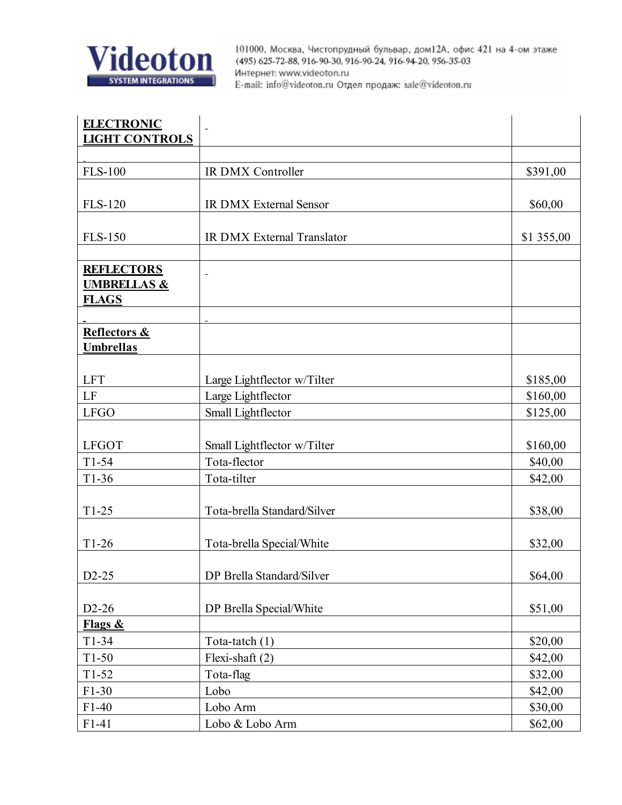

| <b>ELECTRONIC</b>                           |                               |            |
|---------------------------------------------|-------------------------------|------------|
| <b>LIGHT CONTROLS</b>                       |                               |            |
|                                             |                               |            |
| <b>FLS-100</b>                              | IR DMX Controller             | \$391,00   |
|                                             |                               |            |
| <b>FLS-120</b>                              | <b>IR DMX External Sensor</b> | \$60,00    |
| <b>FLS-150</b>                              | IR DMX External Translator    | \$1 355,00 |
|                                             |                               |            |
| <b>REFLECTORS</b><br><b>UMBRELLAS &amp;</b> | $\overline{\phantom{0}}$      |            |
| <b>FLAGS</b>                                |                               |            |
| Reflectors &                                |                               |            |
| <b>Umbrellas</b>                            |                               |            |
|                                             |                               |            |
| <b>LFT</b>                                  | Large Lightflector w/Tilter   | \$185,00   |
| LF                                          | Large Lightflector            | \$160,00   |
| <b>LFGO</b>                                 | Small Lightflector            | \$125,00   |
|                                             |                               |            |
| <b>LFGOT</b>                                | Small Lightflector w/Tilter   | \$160,00   |
| $T1-54$                                     | Tota-flector                  | \$40,00    |
| $T1-36$                                     | Tota-tilter                   | \$42,00    |
| $T1-25$                                     | Tota-brella Standard/Silver   | \$38,00    |
| $T1-26$                                     | Tota-brella Special/White     | \$32,00    |
| $D2-25$                                     | DP Brella Standard/Silver     | \$64,00    |
|                                             |                               |            |
| $D2-26$                                     | DP Brella Special/White       | \$51,00    |
| Flags &                                     |                               |            |
| $T1-34$                                     | Tota-tatch (1)                | \$20,00    |
| $T1-50$                                     | Flexi-shaft (2)               | \$42,00    |
| $T1-52$                                     | Tota-flag                     | \$32,00    |
| $F1-30$                                     | Lobo                          | \$42,00    |
| $F1-40$                                     | Lobo Arm                      | \$30,00    |
| $F1-41$                                     | Lobo & Lobo Arm               | \$62,00    |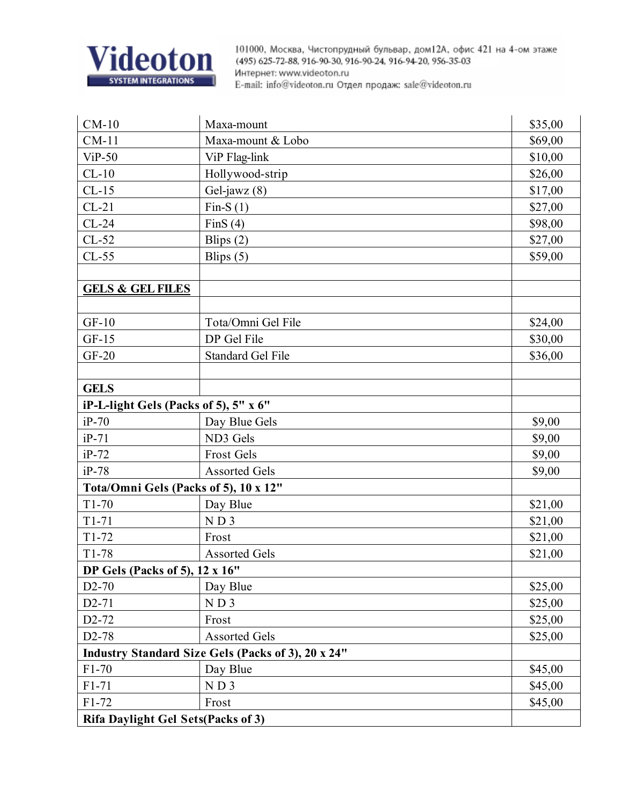

| $CM-10$                                   | Maxa-mount                                                | \$35,00 |
|-------------------------------------------|-----------------------------------------------------------|---------|
| $CM-11$                                   | Maxa-mount & Lobo                                         | \$69,00 |
| $ViP-50$                                  | ViP Flag-link                                             | \$10,00 |
| $CL-10$                                   | Hollywood-strip                                           | \$26,00 |
| $CL-15$                                   | Gel-jawz (8)                                              | \$17,00 |
| $CL-21$                                   | Fin-S $(1)$                                               | \$27,00 |
| $CL-24$                                   | Fin $S(4)$                                                | \$98,00 |
| $CL-52$                                   | Blips $(2)$                                               | \$27,00 |
| $CL-55$                                   | Blips $(5)$                                               | \$59,00 |
|                                           |                                                           |         |
| <b>GELS &amp; GEL FILES</b>               |                                                           |         |
|                                           |                                                           |         |
| $GF-10$                                   | Tota/Omni Gel File                                        | \$24,00 |
| $GF-15$                                   | DP Gel File                                               | \$30,00 |
| GF-20                                     | <b>Standard Gel File</b>                                  | \$36,00 |
|                                           |                                                           |         |
| <b>GELS</b>                               |                                                           |         |
| iP-L-light Gels (Packs of 5), 5" x 6"     |                                                           |         |
| $iP-70$                                   | Day Blue Gels                                             | \$9,00  |
| $iP-71$                                   | ND3 Gels                                                  | \$9,00  |
| $iP-72$                                   | <b>Frost Gels</b>                                         | \$9,00  |
| $iP-78$                                   | <b>Assorted Gels</b>                                      | \$9,00  |
| Tota/Omni Gels (Packs of 5), 10 x 12"     |                                                           |         |
| $T1-70$                                   | Day Blue                                                  | \$21,00 |
| $T1-71$                                   | $ND$ 3                                                    | \$21,00 |
| $T1-72$                                   | Frost                                                     | \$21,00 |
| $T1-78$                                   | <b>Assorted Gels</b>                                      | \$21,00 |
| <b>DP Gels (Packs of 5), 12 x 16"</b>     |                                                           |         |
| $D2-70$                                   | Day Blue                                                  | \$25,00 |
| $D2 - 71$                                 | N D 3                                                     | \$25,00 |
| D <sub>2</sub> -72                        | Frost                                                     | \$25,00 |
| D <sub>2</sub> -78                        | <b>Assorted Gels</b>                                      | \$25,00 |
|                                           | <b>Industry Standard Size Gels (Packs of 3), 20 x 24"</b> |         |
| $F1-70$                                   | Day Blue                                                  | \$45,00 |
| $F1-71$                                   | ND3                                                       | \$45,00 |
| $F1-72$                                   | Frost                                                     | \$45,00 |
| <b>Rifa Daylight Gel Sets(Packs of 3)</b> |                                                           |         |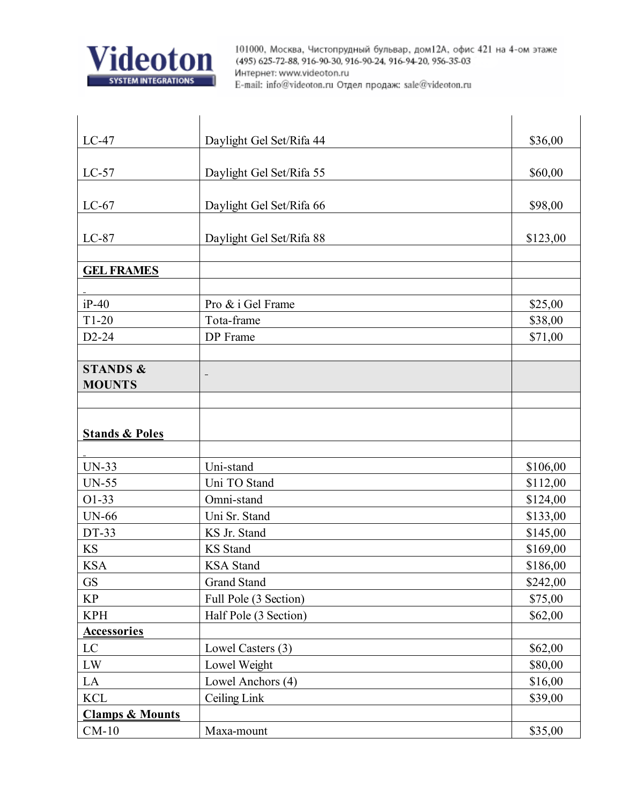

| $LC-47$                    | Daylight Gel Set/Rifa 44 | \$36,00  |
|----------------------------|--------------------------|----------|
|                            |                          |          |
| $LC-57$                    | Daylight Gel Set/Rifa 55 | \$60,00  |
| $LC-67$                    | Daylight Gel Set/Rifa 66 | \$98,00  |
| $LC-87$                    | Daylight Gel Set/Rifa 88 | \$123,00 |
| <b>GEL FRAMES</b>          |                          |          |
| $iP-40$                    | Pro & i Gel Frame        | \$25,00  |
| $T1-20$                    | Tota-frame               | \$38,00  |
| $D2-24$                    | DP Frame                 | \$71,00  |
| <b>STANDS &amp;</b>        |                          |          |
| <b>MOUNTS</b>              |                          |          |
| <b>Stands &amp; Poles</b>  |                          |          |
| $UN-33$                    | Uni-stand                | \$106,00 |
| <b>UN-55</b>               | Uni TO Stand             | \$112,00 |
| $O1-33$                    | Omni-stand               | \$124,00 |
| <b>UN-66</b>               | Uni Sr. Stand            | \$133,00 |
| DT-33                      | KS Jr. Stand             | \$145,00 |
| <b>KS</b>                  | <b>KS</b> Stand          | \$169,00 |
| <b>KSA</b>                 | KSA Stand                | \$186,00 |
| <b>GS</b>                  | <b>Grand Stand</b>       | \$242,00 |
| <b>KP</b>                  | Full Pole (3 Section)    | \$75,00  |
| <b>KPH</b>                 | Half Pole (3 Section)    | \$62,00  |
| <b>Accessories</b>         |                          |          |
| LC                         | Lowel Casters (3)        | \$62,00  |
| LW                         | Lowel Weight             | \$80,00  |
| LA                         | Lowel Anchors (4)        | \$16,00  |
| <b>KCL</b>                 | Ceiling Link             | \$39,00  |
| <b>Clamps &amp; Mounts</b> |                          |          |
| $CM-10$                    | Maxa-mount               | \$35,00  |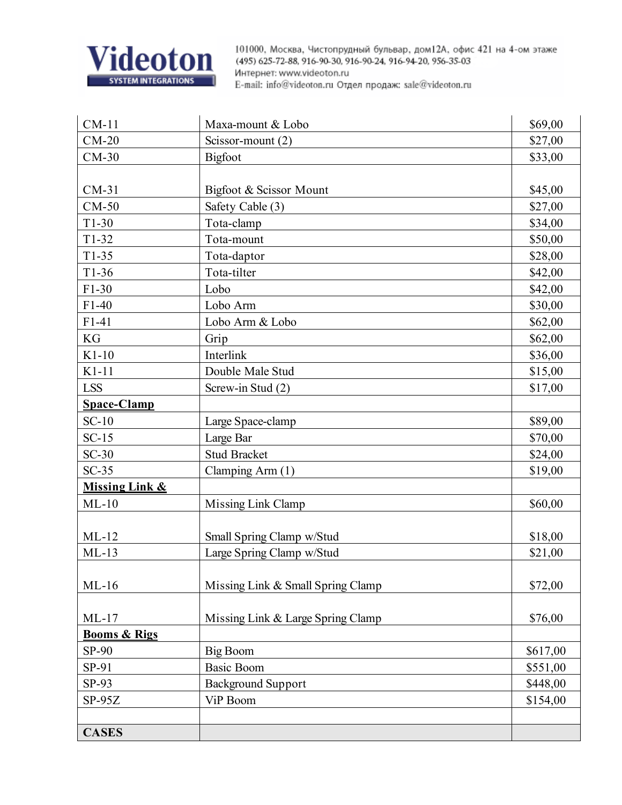

| $CM-11$                 | Maxa-mount & Lobo                 | \$69,00  |
|-------------------------|-----------------------------------|----------|
| $CM-20$                 | Scissor-mount (2)                 | \$27,00  |
| $CM-30$                 | <b>Bigfoot</b>                    | \$33,00  |
|                         |                                   |          |
| $CM-31$                 | Bigfoot & Scissor Mount           | \$45,00  |
| $CM-50$                 | Safety Cable (3)                  | \$27,00  |
| $T1-30$                 | Tota-clamp                        | \$34,00  |
| $T1-32$                 | Tota-mount                        | \$50,00  |
| $T1-35$                 | Tota-daptor                       | \$28,00  |
| $T1-36$                 | Tota-tilter                       | \$42,00  |
| $F1-30$                 | Lobo                              | \$42,00  |
| $F1-40$                 | Lobo Arm                          | \$30,00  |
| $F1-41$                 | Lobo Arm & Lobo                   | \$62,00  |
| KG                      | Grip                              | \$62,00  |
| $K1-10$                 | Interlink                         | \$36,00  |
| $K1-11$                 | Double Male Stud                  | \$15,00  |
| <b>LSS</b>              | Screw-in Stud (2)                 | \$17,00  |
| <b>Space-Clamp</b>      |                                   |          |
| $SC-10$                 | Large Space-clamp                 | \$89,00  |
| $SC-15$                 | Large Bar                         | \$70,00  |
| $SC-30$                 | <b>Stud Bracket</b>               | \$24,00  |
| $SC-35$                 | Clamping Arm (1)                  | \$19,00  |
| Missing Link &          |                                   |          |
| $ML-10$                 | Missing Link Clamp                | \$60,00  |
|                         |                                   |          |
| $ML-12$                 | Small Spring Clamp w/Stud         | \$18,00  |
| $ML-13$                 | Large Spring Clamp w/Stud         | \$21,00  |
|                         |                                   |          |
| $ML-16$                 | Missing Link & Small Spring Clamp | \$72,00  |
|                         |                                   |          |
| $ML-17$                 | Missing Link & Large Spring Clamp | \$76,00  |
| <b>Booms &amp; Rigs</b> |                                   |          |
| SP-90                   | Big Boom                          | \$617,00 |
| SP-91                   | <b>Basic Boom</b>                 | \$551,00 |
| SP-93                   | <b>Background Support</b>         | \$448,00 |
| $SP-95Z$                | ViP Boom                          | \$154,00 |
|                         |                                   |          |
| <b>CASES</b>            |                                   |          |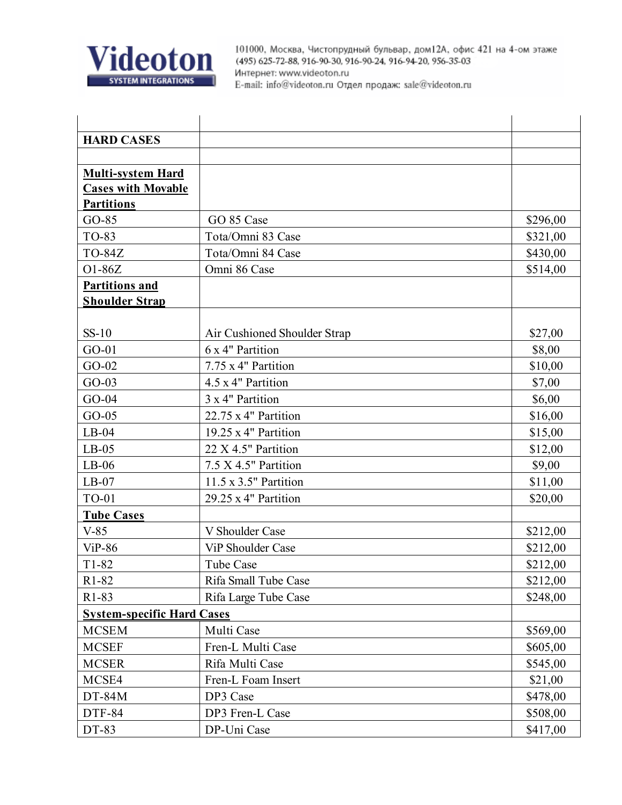

| <b>HARD CASES</b>                 |                               |          |
|-----------------------------------|-------------------------------|----------|
|                                   |                               |          |
| <b>Multi-system Hard</b>          |                               |          |
| <b>Cases with Movable</b>         |                               |          |
| <b>Partitions</b>                 |                               |          |
| $GO-85$                           | GO 85 Case                    | \$296,00 |
| TO-83                             | Tota/Omni 83 Case             | \$321,00 |
| <b>TO-84Z</b>                     | Tota/Omni 84 Case             | \$430,00 |
| O1-86Z                            | Omni 86 Case                  | \$514,00 |
| <b>Partitions and</b>             |                               |          |
| <b>Shoulder Strap</b>             |                               |          |
|                                   |                               |          |
| $SS-10$                           | Air Cushioned Shoulder Strap  | \$27,00  |
| $GO-01$                           | 6 x 4" Partition              | \$8,00   |
| $GO-02$                           | 7.75 x 4" Partition           | \$10,00  |
| $GO-03$                           | 4.5 x 4" Partition            | \$7,00   |
| $GO-04$                           | 3 x 4" Partition              | \$6,00   |
| $GO-05$                           | 22.75 x 4" Partition          | \$16,00  |
| $LB-04$                           | 19.25 x 4" Partition          | \$15,00  |
| $LB-05$                           | 22 X 4.5" Partition           | \$12,00  |
| $LB-06$                           | $7.5 \times 4.5$ " Partition  | \$9,00   |
| $LB-07$                           | $11.5 \times 3.5$ " Partition | \$11,00  |
| <b>TO-01</b>                      | 29.25 x 4" Partition          | \$20,00  |
| <b>Tube Cases</b>                 |                               |          |
| $V-85$                            | V Shoulder Case               | \$212,00 |
| $ViP-86$                          | <b>ViP Shoulder Case</b>      | \$212,00 |
| $T1-82$                           | <b>Tube Case</b>              | \$212,00 |
| R1-82                             | Rifa Small Tube Case          | \$212,00 |
| R1-83                             | Rifa Large Tube Case          | \$248,00 |
| <b>System-specific Hard Cases</b> |                               |          |
| <b>MCSEM</b>                      | Multi Case                    | \$569,00 |
| <b>MCSEF</b>                      | Fren-L Multi Case             | \$605,00 |
| <b>MCSER</b>                      | Rifa Multi Case               | \$545,00 |
| MCSE4                             | Fren-L Foam Insert            | \$21,00  |
| $DT-84M$                          | DP3 Case                      | \$478,00 |
| <b>DTF-84</b>                     | DP3 Fren-L Case               | \$508,00 |
| DT-83                             | DP-Uni Case                   | \$417,00 |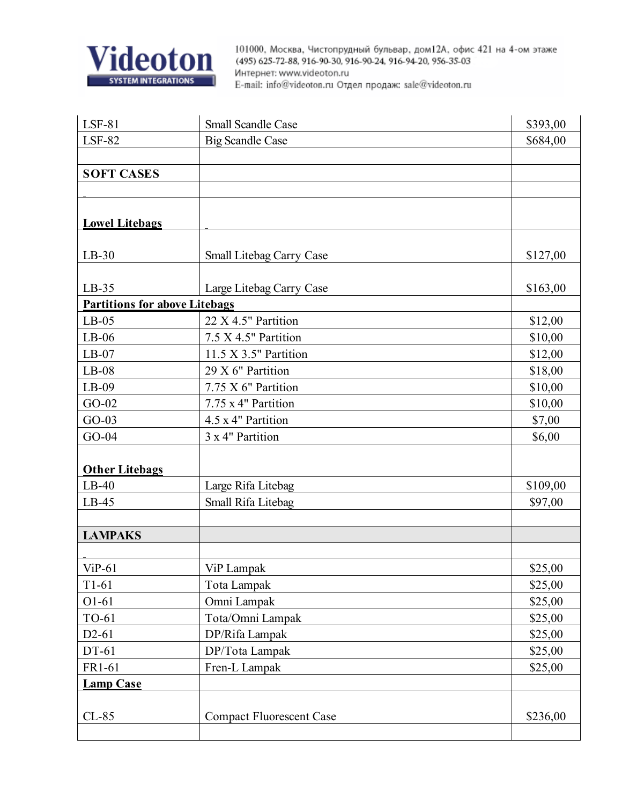

| $LSF-81$                             | <b>Small Scandle Case</b>       | \$393,00 |
|--------------------------------------|---------------------------------|----------|
| <b>LSF-82</b>                        | <b>Big Scandle Case</b>         | \$684,00 |
|                                      |                                 |          |
| <b>SOFT CASES</b>                    |                                 |          |
|                                      |                                 |          |
|                                      |                                 |          |
| <b>Lowel Litebags</b>                |                                 |          |
|                                      |                                 |          |
| $LB-30$                              | Small Litebag Carry Case        | \$127,00 |
|                                      |                                 |          |
| $LB-35$                              | Large Litebag Carry Case        | \$163,00 |
| <b>Partitions for above Litebags</b> |                                 |          |
| $LB-05$                              | 22 X 4.5" Partition             | \$12,00  |
| $LB-06$                              | 7.5 X 4.5" Partition            | \$10,00  |
| $LB-07$                              | 11.5 X 3.5" Partition           | \$12,00  |
| $LB-08$                              | 29 X 6" Partition               | \$18,00  |
| $LB-09$                              | 7.75 X 6" Partition             | \$10,00  |
| $GO-02$                              | 7.75 x 4" Partition             | \$10,00  |
| $GO-03$                              | 4.5 x 4" Partition              | \$7,00   |
| $GO-04$                              | 3 x 4" Partition                | \$6,00   |
|                                      |                                 |          |
| <b>Other Litebags</b>                |                                 |          |
| $LB-40$                              | Large Rifa Litebag              | \$109,00 |
| $LB-45$                              | Small Rifa Litebag              | \$97,00  |
|                                      |                                 |          |
| <b>LAMPAKS</b>                       |                                 |          |
|                                      |                                 |          |
| $ViP-61$                             | ViP Lampak                      | \$25,00  |
| $T1-61$                              | Tota Lampak                     | \$25,00  |
| $O1-61$                              | Omni Lampak                     | \$25,00  |
| TO-61                                | Tota/Omni Lampak                | \$25,00  |
| $D2-61$                              | DP/Rifa Lampak                  | \$25,00  |
| DT-61                                | DP/Tota Lampak                  | \$25,00  |
| FR1-61                               | Fren-L Lampak                   | \$25,00  |
| <b>Lamp Case</b>                     |                                 |          |
|                                      |                                 |          |
| $CL-85$                              | <b>Compact Fluorescent Case</b> | \$236,00 |
|                                      |                                 |          |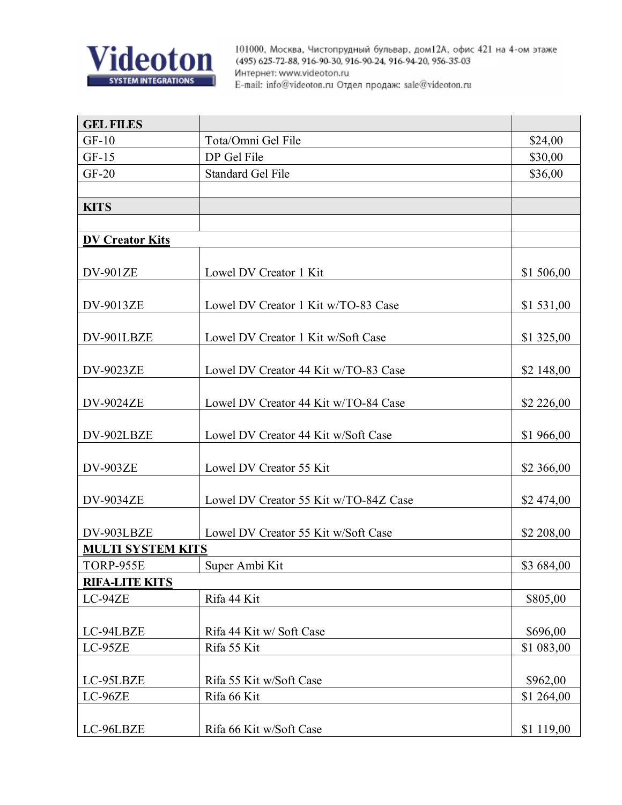

| <b>GEL FILES</b>         |                                       |            |
|--------------------------|---------------------------------------|------------|
| $GF-10$                  | Tota/Omni Gel File                    | \$24,00    |
| $GF-15$                  | DP Gel File                           | \$30,00    |
| $GF-20$                  | <b>Standard Gel File</b>              | \$36,00    |
|                          |                                       |            |
| <b>KITS</b>              |                                       |            |
|                          |                                       |            |
| <b>DV Creator Kits</b>   |                                       |            |
| <b>DV-901ZE</b>          | Lowel DV Creator 1 Kit                | \$1 506,00 |
| DV-9013ZE                | Lowel DV Creator 1 Kit w/TO-83 Case   | \$1 531,00 |
| DV-901LBZE               | Lowel DV Creator 1 Kit w/Soft Case    | \$1 325,00 |
|                          |                                       |            |
| <b>DV-9023ZE</b>         | Lowel DV Creator 44 Kit w/TO-83 Case  | \$2 148,00 |
|                          |                                       |            |
| <b>DV-9024ZE</b>         | Lowel DV Creator 44 Kit w/TO-84 Case  | \$2 226,00 |
|                          |                                       |            |
| DV-902LBZE               | Lowel DV Creator 44 Kit w/Soft Case   | \$1 966,00 |
| <b>DV-903ZE</b>          | Lowel DV Creator 55 Kit               | \$2 366,00 |
| <b>DV-9034ZE</b>         | Lowel DV Creator 55 Kit w/TO-84Z Case | \$2 474,00 |
| DV-903LBZE               | Lowel DV Creator 55 Kit w/Soft Case   | \$2 208,00 |
| <b>MULTI SYSTEM KITS</b> |                                       |            |
| TORP-955E                | Super Ambi Kit                        | \$3 684,00 |
| <b>RIFA-LITE KITS</b>    |                                       |            |
| LC-94ZE                  | Rifa 44 Kit                           | \$805,00   |
|                          |                                       |            |
| LC-94LBZE                | Rifa 44 Kit w/Soft Case               | \$696,00   |
| LC-95ZE                  | Rifa 55 Kit                           | \$1 083,00 |
|                          |                                       |            |
| LC-95LBZE                | Rifa 55 Kit w/Soft Case               | \$962,00   |
| LC-96ZE                  | Rifa 66 Kit                           | \$1 264,00 |
| LC-96LBZE                | Rifa 66 Kit w/Soft Case               | \$1 119,00 |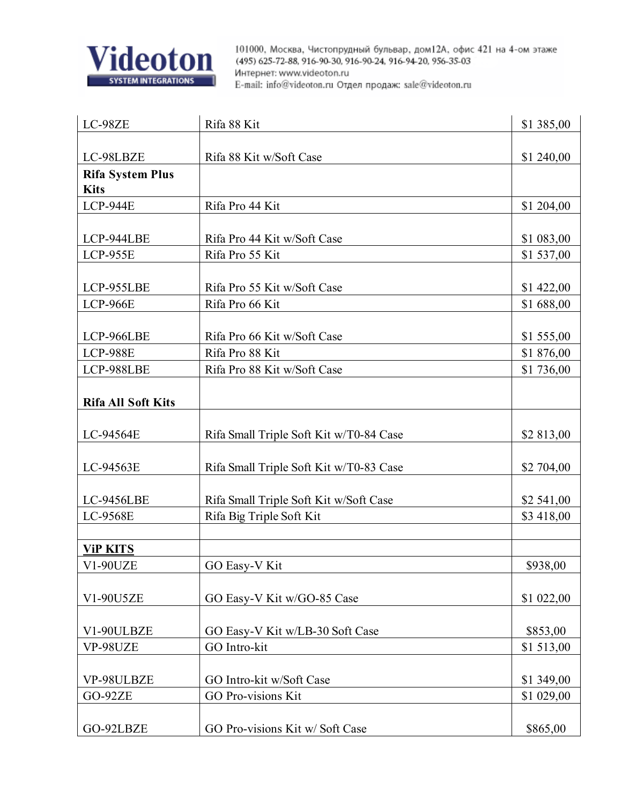![](_page_25_Picture_0.jpeg)

| LC-98ZE                   | Rifa 88 Kit                             | \$1 385,00 |
|---------------------------|-----------------------------------------|------------|
|                           |                                         |            |
| LC-98LBZE                 | Rifa 88 Kit w/Soft Case                 | \$1 240,00 |
| <b>Rifa System Plus</b>   |                                         |            |
| <b>Kits</b>               |                                         |            |
| <b>LCP-944E</b>           | Rifa Pro 44 Kit                         | \$1 204,00 |
|                           |                                         |            |
| LCP-944LBE                | Rifa Pro 44 Kit w/Soft Case             | \$1 083,00 |
| <b>LCP-955E</b>           | Rifa Pro 55 Kit                         | \$1 537,00 |
|                           |                                         |            |
| LCP-955LBE                | Rifa Pro 55 Kit w/Soft Case             | \$1 422,00 |
| <b>LCP-966E</b>           | Rifa Pro 66 Kit                         | \$1688,00  |
|                           |                                         |            |
| LCP-966LBE                | Rifa Pro 66 Kit w/Soft Case             | \$1 555,00 |
| <b>LCP-988E</b>           | Rifa Pro 88 Kit                         | \$1876,00  |
| LCP-988LBE                | Rifa Pro 88 Kit w/Soft Case             | \$1 736,00 |
|                           |                                         |            |
| <b>Rifa All Soft Kits</b> |                                         |            |
|                           |                                         |            |
| LC-94564E                 | Rifa Small Triple Soft Kit w/T0-84 Case | \$2 813,00 |
|                           |                                         |            |
| LC-94563E                 | Rifa Small Triple Soft Kit w/T0-83 Case | \$2 704,00 |
| LC-9456LBE                | Rifa Small Triple Soft Kit w/Soft Case  | \$2 541,00 |
| LC-9568E                  | Rifa Big Triple Soft Kit                | \$3 418,00 |
|                           |                                         |            |
| <b>ViP KITS</b>           |                                         |            |
| V1-90UZE                  | GO Easy-V Kit                           | \$938,00   |
|                           |                                         |            |
| V1-90U5ZE                 | GO Easy-V Kit w/GO-85 Case              | \$1 022,00 |
|                           |                                         |            |
| V1-90ULBZE                | GO Easy-V Kit w/LB-30 Soft Case         | \$853,00   |
| VP-98UZE                  | GO Intro-kit                            | \$1513,00  |
|                           |                                         |            |
| VP-98ULBZE                | GO Intro-kit w/Soft Case                | \$1 349,00 |
| <b>GO-92ZE</b>            | <b>GO Pro-visions Kit</b>               | \$1 029,00 |
|                           |                                         |            |
| GO-92LBZE                 | GO Pro-visions Kit w/Soft Case          | \$865,00   |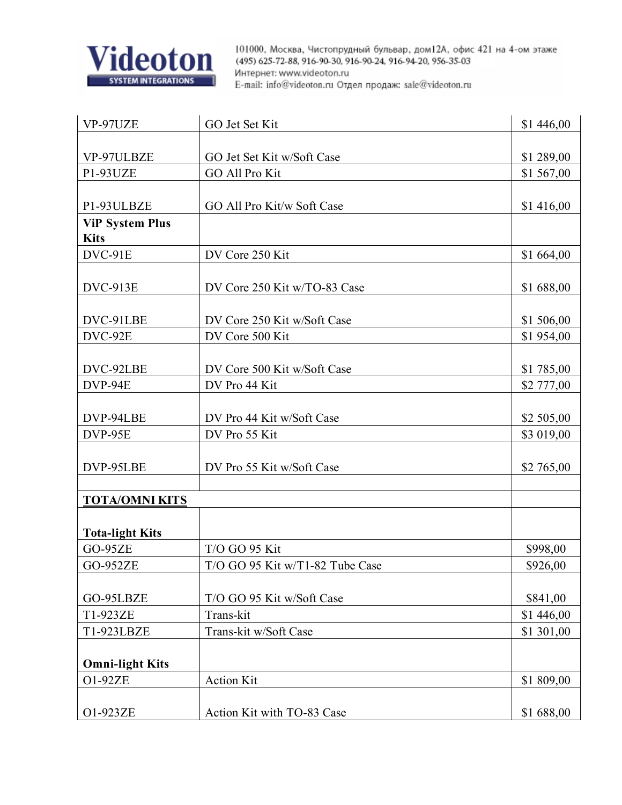![](_page_26_Picture_0.jpeg)

| VP-97UZE               | GO Jet Set Kit                  | \$1 446,00 |
|------------------------|---------------------------------|------------|
|                        |                                 |            |
| VP-97ULBZE             | GO Jet Set Kit w/Soft Case      | \$1 289,00 |
| P1-93UZE               | <b>GO All Pro Kit</b>           | \$1 567,00 |
|                        |                                 |            |
| P1-93ULBZE             | GO All Pro Kit/w Soft Case      | \$1 416,00 |
| <b>ViP System Plus</b> |                                 |            |
| <b>Kits</b>            |                                 |            |
| DVC-91E                | DV Core 250 Kit                 | \$1 664,00 |
|                        |                                 |            |
| <b>DVC-913E</b>        | DV Core 250 Kit w/TO-83 Case    | \$1688,00  |
|                        |                                 |            |
| DVC-91LBE              | DV Core 250 Kit w/Soft Case     | \$1 506,00 |
| DVC-92E                | DV Core 500 Kit                 | \$1 954,00 |
|                        |                                 |            |
| DVC-92LBE              | DV Core 500 Kit w/Soft Case     | \$1 785,00 |
| DVP-94E                | DV Pro 44 Kit                   | \$2 777,00 |
|                        |                                 |            |
| DVP-94LBE              | DV Pro 44 Kit w/Soft Case       | \$2 505,00 |
| DVP-95E                | DV Pro 55 Kit                   | \$3 019,00 |
|                        |                                 |            |
| DVP-95LBE              | DV Pro 55 Kit w/Soft Case       | \$2 765,00 |
|                        |                                 |            |
| <b>TOTA/OMNI KITS</b>  |                                 |            |
|                        |                                 |            |
| <b>Tota-light Kits</b> |                                 |            |
| <b>GO-95ZE</b>         | T/O GO 95 Kit                   | \$998,00   |
| <b>GO-952ZE</b>        | T/O GO 95 Kit w/T1-82 Tube Case | \$926,00   |
|                        |                                 |            |
| GO-95LBZE              | T/O GO 95 Kit w/Soft Case       | \$841,00   |
| T1-923ZE               | Trans-kit                       | \$1 446,00 |
| T1-923LBZE             | Trans-kit w/Soft Case           | \$1 301,00 |
|                        |                                 |            |
| <b>Omni-light Kits</b> |                                 |            |
| O1-92ZE                | <b>Action Kit</b>               | \$1 809,00 |
|                        |                                 |            |
| O1-923ZE               | Action Kit with TO-83 Case      | \$1 688,00 |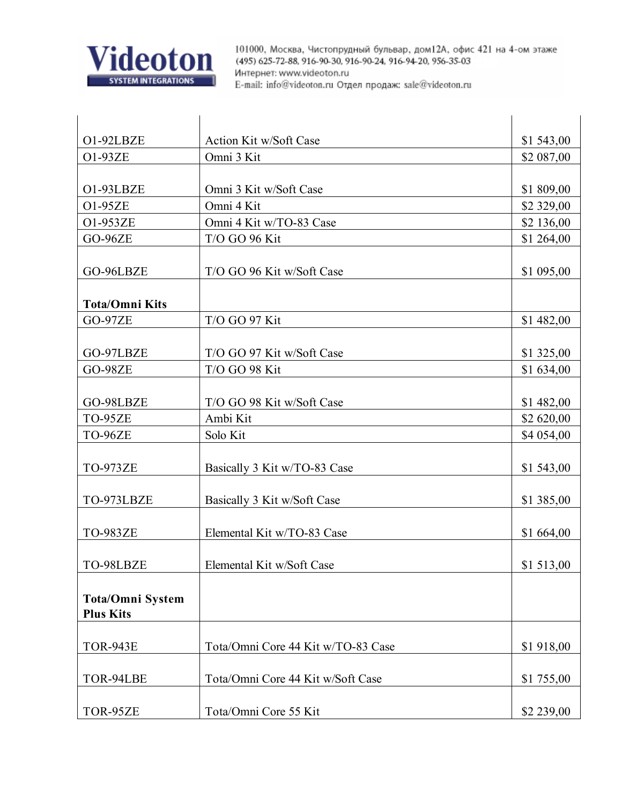![](_page_27_Picture_0.jpeg)

| O1-92LBZE               | <b>Action Kit w/Soft Case</b>      | \$1 543,00 |
|-------------------------|------------------------------------|------------|
| O1-93ZE                 | Omni 3 Kit                         | \$2 087,00 |
|                         |                                    |            |
| O1-93LBZE               | Omni 3 Kit w/Soft Case             | \$1 809,00 |
| O1-95ZE                 | Omni 4 Kit                         | \$2 329,00 |
| O1-953ZE                | Omni 4 Kit w/TO-83 Case            | \$2 136,00 |
| <b>GO-96ZE</b>          | T/O GO 96 Kit                      | \$1 264,00 |
|                         |                                    |            |
| GO-96LBZE               | T/O GO 96 Kit w/Soft Case          | \$1 095,00 |
|                         |                                    |            |
| <b>Tota/Omni Kits</b>   |                                    |            |
| <b>GO-97ZE</b>          | T/O GO 97 Kit                      | \$1 482,00 |
|                         |                                    |            |
| GO-97LBZE               | T/O GO 97 Kit w/Soft Case          | \$1 325,00 |
| <b>GO-98ZE</b>          | T/O GO 98 Kit                      | \$1 634,00 |
|                         |                                    |            |
| GO-98LBZE               | T/O GO 98 Kit w/Soft Case          | \$1 482,00 |
| TO-95ZE                 | Ambi Kit                           | \$2 620,00 |
| TO-96ZE                 | Solo Kit                           | \$4 054,00 |
|                         |                                    |            |
| <b>TO-973ZE</b>         | Basically 3 Kit w/TO-83 Case       | \$1 543,00 |
|                         |                                    |            |
| TO-973LBZE              | Basically 3 Kit w/Soft Case        | \$1 385,00 |
|                         |                                    |            |
| <b>TO-983ZE</b>         | Elemental Kit w/TO-83 Case         | \$1 664,00 |
| TO-98LBZE               | Elemental Kit w/Soft Case          | \$1 513,00 |
|                         |                                    |            |
| <b>Tota/Omni System</b> |                                    |            |
| <b>Plus Kits</b>        |                                    |            |
|                         |                                    |            |
| <b>TOR-943E</b>         | Tota/Omni Core 44 Kit w/TO-83 Case | \$1 918,00 |
|                         |                                    |            |
| TOR-94LBE               | Tota/Omni Core 44 Kit w/Soft Case  | \$1 755,00 |
|                         |                                    |            |
| TOR-95ZE                | Tota/Omni Core 55 Kit              | \$2 239,00 |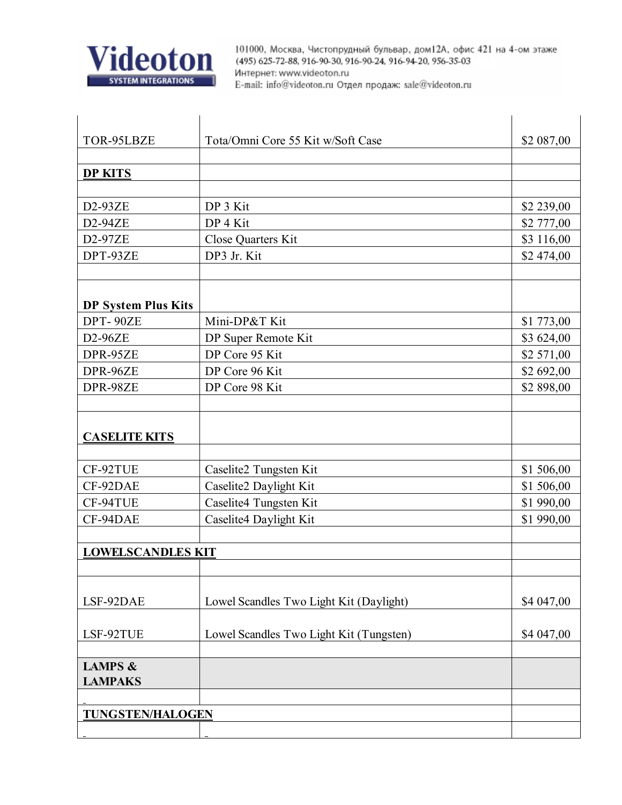![](_page_28_Picture_0.jpeg)

| TOR-95LBZE                 | Tota/Omni Core 55 Kit w/Soft Case       | \$2 087,00 |
|----------------------------|-----------------------------------------|------------|
|                            |                                         |            |
| <b>DP KITS</b>             |                                         |            |
|                            |                                         |            |
| D2-93ZE                    | DP 3 Kit                                | \$2 239,00 |
| D2-94ZE                    | DP 4 Kit                                | \$2 777,00 |
| D2-97ZE                    | Close Quarters Kit                      | \$3 116,00 |
| DPT-93ZE                   | DP3 Jr. Kit                             | \$2 474,00 |
|                            |                                         |            |
|                            |                                         |            |
| <b>DP System Plus Kits</b> |                                         |            |
| DPT-90ZE                   | Mini-DP&T Kit                           | \$1 773,00 |
| $D2-96ZE$                  | DP Super Remote Kit                     | \$3 624,00 |
| DPR-95ZE                   | DP Core 95 Kit                          | \$2 571,00 |
| DPR-96ZE                   | DP Core 96 Kit                          | \$2 692,00 |
| DPR-98ZE                   | DP Core 98 Kit                          | \$2 898,00 |
|                            |                                         |            |
|                            |                                         |            |
| <b>CASELITE KITS</b>       |                                         |            |
|                            |                                         |            |
| CF-92TUE                   | Caselite2 Tungsten Kit                  | \$1 506,00 |
| CF-92DAE                   | Caselite2 Daylight Kit                  | \$1 506,00 |
| CF-94TUE                   | Caselite4 Tungsten Kit                  | \$1 990,00 |
| CF-94DAE                   | Caselite4 Daylight Kit                  | \$1 990,00 |
|                            |                                         |            |
| <b>LOWELSCANDLES KIT</b>   |                                         |            |
|                            |                                         |            |
|                            |                                         |            |
| LSF-92DAE                  | Lowel Scandles Two Light Kit (Daylight) | \$4 047,00 |
|                            |                                         |            |
| LSF-92TUE                  | Lowel Scandles Two Light Kit (Tungsten) | \$4 047,00 |
|                            |                                         |            |
| <b>LAMPS &amp;</b>         |                                         |            |
| <b>LAMPAKS</b>             |                                         |            |
|                            |                                         |            |
| <b>TUNGSTEN/HALOGEN</b>    |                                         |            |
|                            |                                         |            |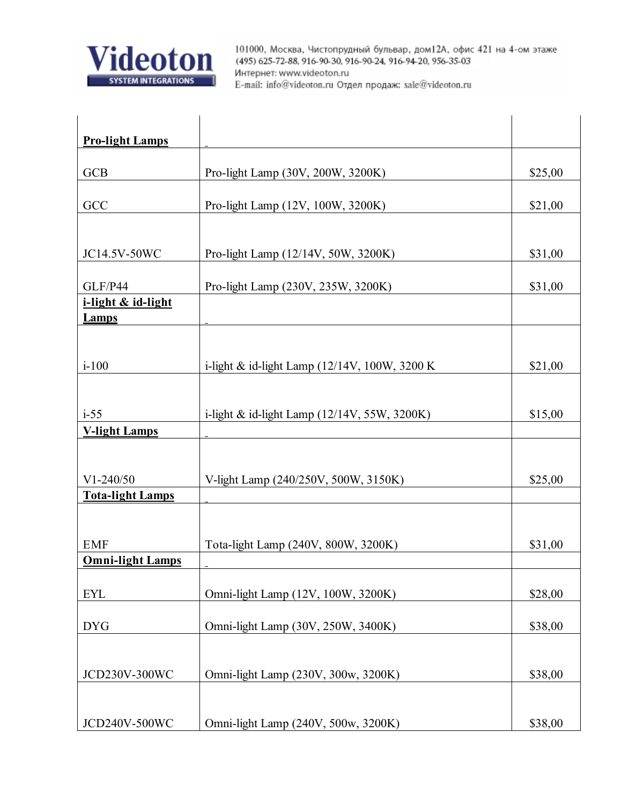![](_page_29_Picture_0.jpeg)

| <b>Pro-light Lamps</b>  |                                                |         |
|-------------------------|------------------------------------------------|---------|
|                         |                                                |         |
| <b>GCB</b>              | Pro-light Lamp (30V, 200W, 3200K)              | \$25,00 |
| GCC                     | Pro-light Lamp (12V, 100W, 3200K)              | \$21,00 |
|                         |                                                |         |
| JC14.5V-50WC            | Pro-light Lamp (12/14V, 50W, 3200K)            | \$31,00 |
| GLF/P44                 | Pro-light Lamp (230V, 235W, 3200K)             | \$31,00 |
| i-light & id-light      |                                                |         |
| <b>Lamps</b>            |                                                |         |
|                         |                                                |         |
| $i-100$                 | i-light & id-light Lamp (12/14V, 100W, 3200 K  | \$21,00 |
|                         |                                                |         |
| $i-55$                  | i-light & id-light Lamp $(12/14V, 55W, 3200K)$ | \$15,00 |
| <b>V-light Lamps</b>    |                                                |         |
|                         |                                                |         |
| $V1-240/50$             | V-light Lamp (240/250V, 500W, 3150K)           | \$25,00 |
| <b>Tota-light Lamps</b> |                                                |         |
|                         |                                                |         |
| <b>EMF</b>              | Tota-light Lamp (240V, 800W, 3200K)            | \$31,00 |
| <b>Omni-light Lamps</b> |                                                |         |
|                         |                                                |         |
| <b>EYL</b>              | Omni-light Lamp (12V, 100W, 3200K)             | \$28,00 |
| <b>DYG</b>              | Omni-light Lamp (30V, 250W, 3400K)             | \$38,00 |
|                         |                                                |         |
| JCD230V-300WC           | Omni-light Lamp (230V, 300w, 3200K)            | \$38,00 |
|                         |                                                |         |
| JCD240V-500WC           | Omni-light Lamp (240V, 500w, 3200K)            | \$38,00 |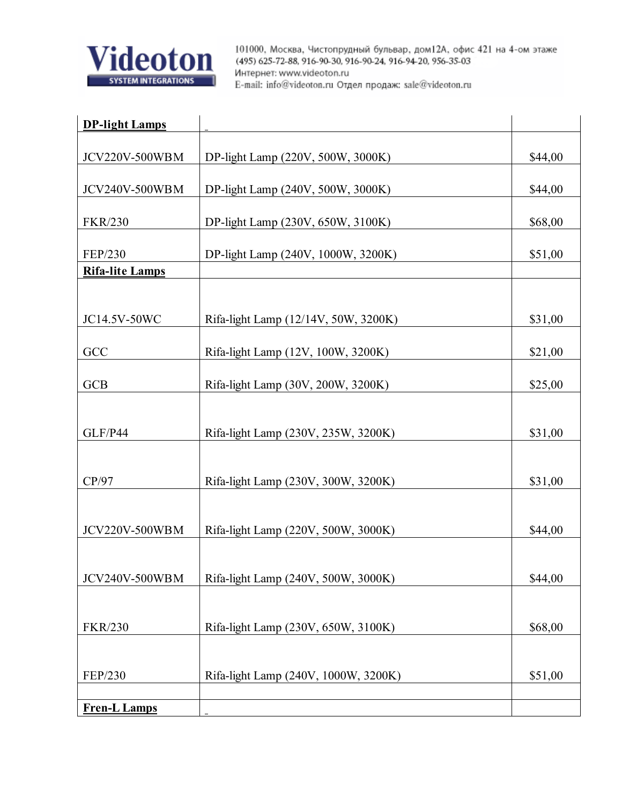![](_page_30_Picture_0.jpeg)

| <b>DP-light Lamps</b>  |                                      |         |
|------------------------|--------------------------------------|---------|
|                        |                                      |         |
| <b>JCV220V-500WBM</b>  | DP-light Lamp (220V, 500W, 3000K)    | \$44,00 |
| JCV240V-500WBM         | DP-light Lamp (240V, 500W, 3000K)    | \$44,00 |
| <b>FKR/230</b>         | DP-light Lamp (230V, 650W, 3100K)    | \$68,00 |
| FEP/230                | DP-light Lamp (240V, 1000W, 3200K)   |         |
| <b>Rifa-lite Lamps</b> |                                      | \$51,00 |
|                        |                                      |         |
|                        |                                      |         |
| JC14.5V-50WC           | Rifa-light Lamp (12/14V, 50W, 3200K) | \$31,00 |
|                        |                                      |         |
| GCC                    | Rifa-light Lamp (12V, 100W, 3200K)   | \$21,00 |
|                        |                                      |         |
| <b>GCB</b>             | Rifa-light Lamp (30V, 200W, 3200K)   | \$25,00 |
|                        |                                      |         |
| GLF/P44                | Rifa-light Lamp (230V, 235W, 3200K)  | \$31,00 |
|                        |                                      |         |
|                        |                                      |         |
| CP/97                  | Rifa-light Lamp (230V, 300W, 3200K)  | \$31,00 |
|                        |                                      |         |
| <b>JCV220V-500WBM</b>  | Rifa-light Lamp (220V, 500W, 3000K)  | \$44,00 |
|                        |                                      |         |
|                        |                                      |         |
| JCV240V-500WBM         | Rifa-light Lamp (240V, 500W, 3000K)  | \$44,00 |
|                        |                                      |         |
|                        |                                      |         |
| <b>FKR/230</b>         | Rifa-light Lamp (230V, 650W, 3100K)  | \$68,00 |
|                        |                                      |         |
| FEP/230                | Rifa-light Lamp (240V, 1000W, 3200K) | \$51,00 |
|                        |                                      |         |
| <b>Fren-L Lamps</b>    |                                      |         |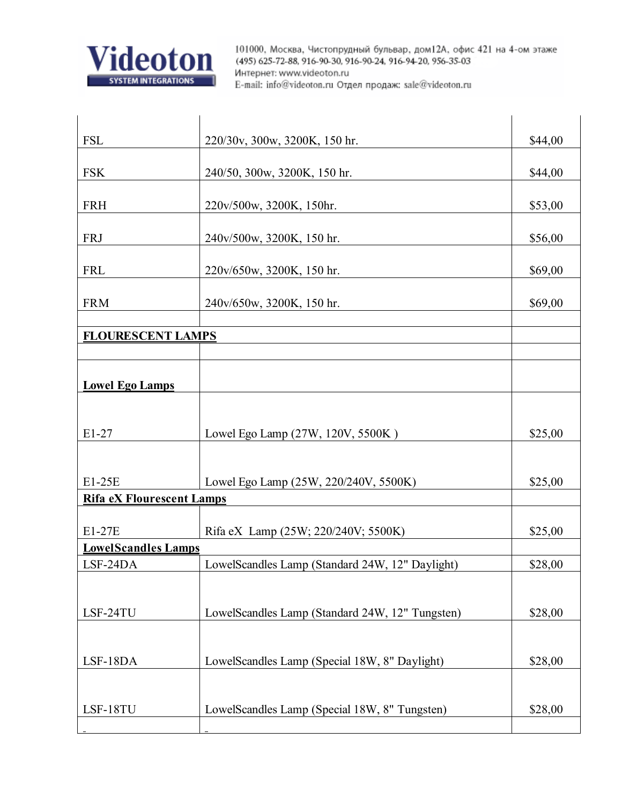![](_page_31_Picture_0.jpeg)

| <b>FSL</b>                       | 220/30v, 300w, 3200K, 150 hr.                   | \$44,00 |  |
|----------------------------------|-------------------------------------------------|---------|--|
|                                  |                                                 |         |  |
| <b>FSK</b>                       | 240/50, 300w, 3200K, 150 hr.                    | \$44,00 |  |
| <b>FRH</b>                       | 220v/500w, 3200K, 150hr.                        | \$53,00 |  |
|                                  |                                                 |         |  |
| <b>FRJ</b>                       | 240v/500w, 3200K, 150 hr.                       | \$56,00 |  |
|                                  |                                                 |         |  |
| <b>FRL</b>                       | 220v/650w, 3200K, 150 hr.                       | \$69,00 |  |
| <b>FRM</b>                       | 240v/650w, 3200K, 150 hr.                       | \$69,00 |  |
|                                  |                                                 |         |  |
| <b>FLOURESCENT LAMPS</b>         |                                                 |         |  |
|                                  |                                                 |         |  |
|                                  |                                                 |         |  |
| <b>Lowel Ego Lamps</b>           |                                                 |         |  |
|                                  |                                                 |         |  |
| $E1-27$                          | Lowel Ego Lamp (27W, 120V, 5500K)               | \$25,00 |  |
|                                  |                                                 |         |  |
|                                  |                                                 |         |  |
| E1-25E                           | Lowel Ego Lamp (25W, 220/240V, 5500K)           | \$25,00 |  |
| <b>Rifa eX Flourescent Lamps</b> |                                                 |         |  |
| E1-27E                           | Rifa eX Lamp (25W; 220/240V; 5500K)             | \$25,00 |  |
| <b>LowelScandles Lamps</b>       |                                                 |         |  |
| LSF-24DA                         | LowelScandles Lamp (Standard 24W, 12" Daylight) | \$28,00 |  |
|                                  |                                                 |         |  |
|                                  |                                                 |         |  |
| LSF-24TU                         | LowelScandles Lamp (Standard 24W, 12" Tungsten) | \$28,00 |  |
|                                  |                                                 |         |  |
| LSF-18DA                         | LowelScandles Lamp (Special 18W, 8" Daylight)   | \$28,00 |  |
|                                  |                                                 |         |  |
|                                  |                                                 |         |  |
| LSF-18TU                         | LowelScandles Lamp (Special 18W, 8" Tungsten)   | \$28,00 |  |
|                                  |                                                 |         |  |